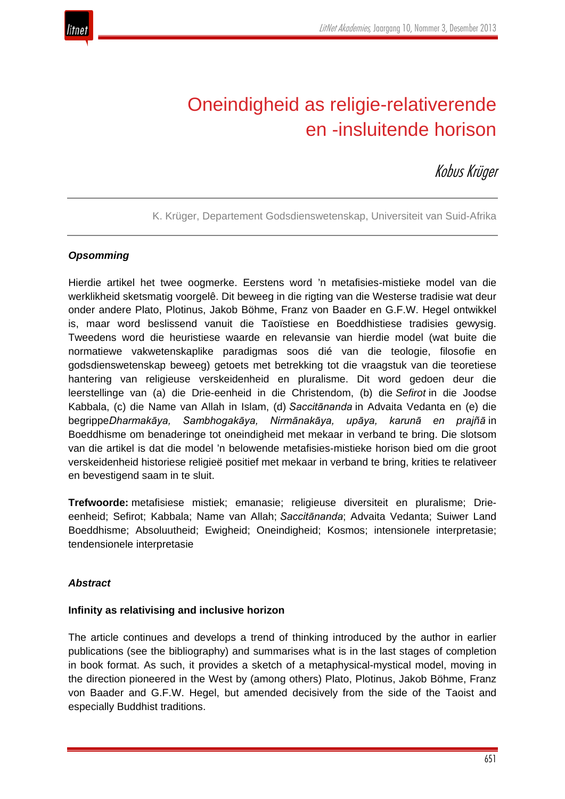

# Oneindigheid as religie-relativerende en -insluitende horison

Kobus Krüger

K. Krüger, Departement Godsdienswetenskap, Universiteit van Suid-Afrika

# *Opsomming*

Hierdie artikel het twee oogmerke. Eerstens word 'n metafisies-mistieke model van die werklikheid sketsmatig voorgelê. Dit beweeg in die rigting van die Westerse tradisie wat deur onder andere Plato, Plotinus, Jakob Böhme, Franz von Baader en G.F.W. Hegel ontwikkel is, maar word beslissend vanuit die Taoïstiese en Boeddhistiese tradisies gewysig. Tweedens word die heuristiese waarde en relevansie van hierdie model (wat buite die normatiewe vakwetenskaplike paradigmas soos dié van die teologie, filosofie en godsdienswetenskap beweeg) getoets met betrekking tot die vraagstuk van die teoretiese hantering van religieuse verskeidenheid en pluralisme. Dit word gedoen deur die leerstellinge van (a) die Drie-eenheid in die Christendom, (b) die *Sefirot* in die Joodse Kabbala, (c) die Name van Allah in Islam, (d) *Saccitānanda* in Advaita Vedanta en (e) die begrippe*Dharmakāya, Sambhogakāya, Nirmānakāya, upāya, karunā en prajñā* in Boeddhisme om benaderinge tot oneindigheid met mekaar in verband te bring. Die slotsom van die artikel is dat die model 'n belowende metafisies-mistieke horison bied om die groot verskeidenheid historiese religieë positief met mekaar in verband te bring, krities te relativeer en bevestigend saam in te sluit.

**Trefwoorde:** metafisiese mistiek; emanasie; religieuse diversiteit en pluralisme; Drieeenheid; Sefirot; Kabbala; Name van Allah; *Saccitānanda*; Advaita Vedanta; Suiwer Land Boeddhisme; Absoluutheid; Ewigheid; Oneindigheid; Kosmos; intensionele interpretasie; tendensionele interpretasie

## *Abstract*

## **Infinity as relativising and inclusive horizon**

The article continues and develops a trend of thinking introduced by the author in earlier publications (see the bibliography) and summarises what is in the last stages of completion in book format. As such, it provides a sketch of a metaphysical-mystical model, moving in the direction pioneered in the West by (among others) Plato, Plotinus, Jakob Böhme, Franz von Baader and G.F.W. Hegel, but amended decisively from the side of the Taoist and especially Buddhist traditions.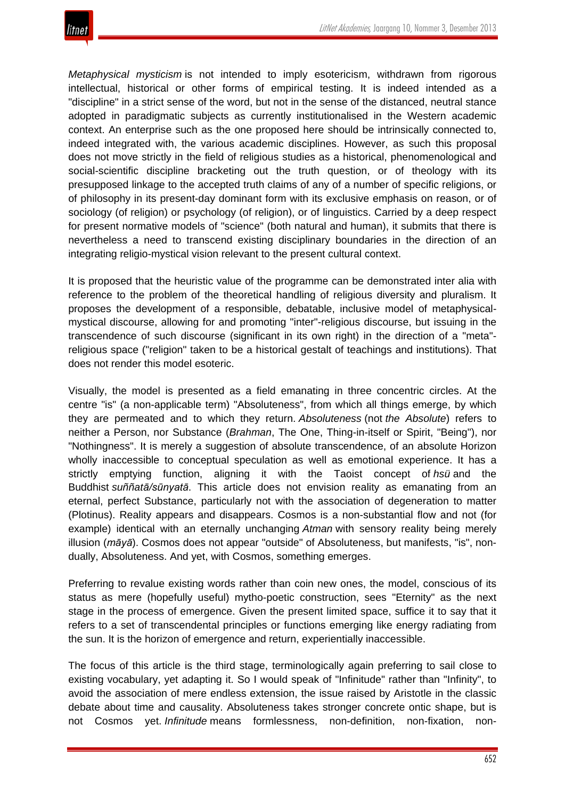

*Metaphysical mysticism* is not intended to imply esotericism, withdrawn from rigorous intellectual, historical or other forms of empirical testing. It is indeed intended as a "discipline" in a strict sense of the word, but not in the sense of the distanced, neutral stance adopted in paradigmatic subjects as currently institutionalised in the Western academic context. An enterprise such as the one proposed here should be intrinsically connected to, indeed integrated with, the various academic disciplines. However, as such this proposal does not move strictly in the field of religious studies as a historical, phenomenological and social-scientific discipline bracketing out the truth question, or of theology with its presupposed linkage to the accepted truth claims of any of a number of specific religions, or of philosophy in its present-day dominant form with its exclusive emphasis on reason, or of sociology (of religion) or psychology (of religion), or of linguistics. Carried by a deep respect for present normative models of "science" (both natural and human), it submits that there is nevertheless a need to transcend existing disciplinary boundaries in the direction of an integrating religio-mystical vision relevant to the present cultural context.

It is proposed that the heuristic value of the programme can be demonstrated inter alia with reference to the problem of the theoretical handling of religious diversity and pluralism. It proposes the development of a responsible, debatable, inclusive model of metaphysicalmystical discourse, allowing for and promoting "inter"-religious discourse, but issuing in the transcendence of such discourse (significant in its own right) in the direction of a "meta" religious space ("religion" taken to be a historical gestalt of teachings and institutions). That does not render this model esoteric.

Visually, the model is presented as a field emanating in three concentric circles. At the centre "is" (a non-applicable term) "Absoluteness", from which all things emerge, by which they are permeated and to which they return. *Absoluteness* (not *the Absolute*) refers to neither a Person, nor Substance (*Brahman*, The One, Thing-in-itself or Spirit, "Being"), nor "Nothingness". It is merely a suggestion of absolute transcendence, of an absolute Horizon wholly inaccessible to conceptual speculation as well as emotional experience. It has a strictly emptying function, aligning it with the Taoist concept of *hsü* and the Buddhist *suññatā/sūnyatā*. This article does not envision reality as emanating from an eternal, perfect Substance, particularly not with the association of degeneration to matter (Plotinus). Reality appears and disappears. Cosmos is a non-substantial flow and not (for example) identical with an eternally unchanging *Atman* with sensory reality being merely illusion (*māyā*). Cosmos does not appear "outside" of Absoluteness, but manifests, "is", nondually, Absoluteness. And yet, with Cosmos, something emerges.

Preferring to revalue existing words rather than coin new ones, the model, conscious of its status as mere (hopefully useful) mytho-poetic construction, sees "Eternity" as the next stage in the process of emergence. Given the present limited space, suffice it to say that it refers to a set of transcendental principles or functions emerging like energy radiating from the sun. It is the horizon of emergence and return, experientially inaccessible.

The focus of this article is the third stage, terminologically again preferring to sail close to existing vocabulary, yet adapting it. So I would speak of "Infinitude" rather than "Infinity", to avoid the association of mere endless extension, the issue raised by Aristotle in the classic debate about time and causality. Absoluteness takes stronger concrete ontic shape, but is not Cosmos yet. *Infinitude* means formlessness, non-definition, non-fixation, non-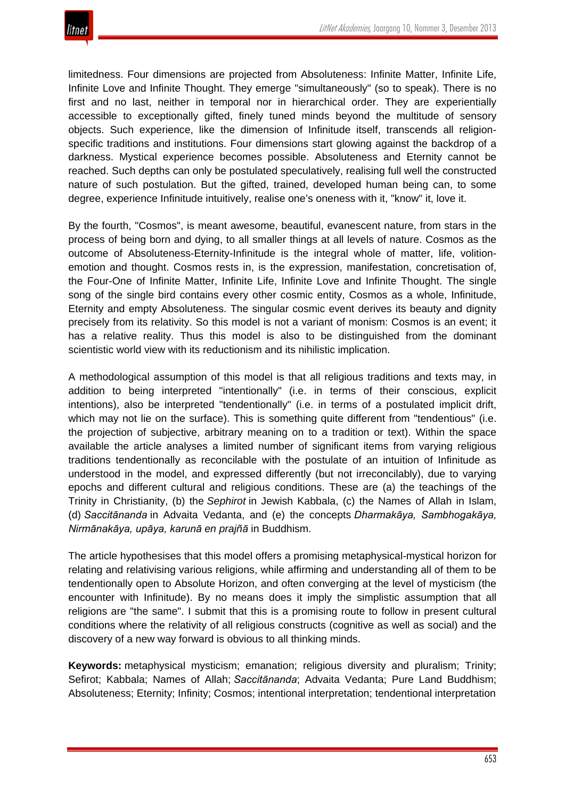

limitedness. Four dimensions are projected from Absoluteness: Infinite Matter, Infinite Life, Infinite Love and Infinite Thought. They emerge "simultaneously" (so to speak). There is no first and no last, neither in temporal nor in hierarchical order. They are experientially accessible to exceptionally gifted, finely tuned minds beyond the multitude of sensory objects. Such experience, like the dimension of Infinitude itself, transcends all religionspecific traditions and institutions. Four dimensions start glowing against the backdrop of a darkness. Mystical experience becomes possible. Absoluteness and Eternity cannot be reached. Such depths can only be postulated speculatively, realising full well the constructed nature of such postulation. But the gifted, trained, developed human being can, to some degree, experience Infinitude intuitively, realise one's oneness with it, "know" it, love it.

By the fourth, "Cosmos", is meant awesome, beautiful, evanescent nature, from stars in the process of being born and dying, to all smaller things at all levels of nature. Cosmos as the outcome of Absoluteness-Eternity-Infinitude is the integral whole of matter, life, volitionemotion and thought. Cosmos rests in, is the expression, manifestation, concretisation of, the Four-One of Infinite Matter, Infinite Life, Infinite Love and Infinite Thought. The single song of the single bird contains every other cosmic entity, Cosmos as a whole, Infinitude, Eternity and empty Absoluteness. The singular cosmic event derives its beauty and dignity precisely from its relativity. So this model is not a variant of monism: Cosmos is an event; it has a relative reality. Thus this model is also to be distinguished from the dominant scientistic world view with its reductionism and its nihilistic implication.

A methodological assumption of this model is that all religious traditions and texts may, in addition to being interpreted "intentionally" (i.e. in terms of their conscious, explicit intentions), also be interpreted "tendentionally" (i.e. in terms of a postulated implicit drift, which may not lie on the surface). This is something quite different from "tendentious" (i.e. the projection of subjective, arbitrary meaning on to a tradition or text). Within the space available the article analyses a limited number of significant items from varying religious traditions tendentionally as reconcilable with the postulate of an intuition of Infinitude as understood in the model, and expressed differently (but not irreconcilably), due to varying epochs and different cultural and religious conditions. These are (a) the teachings of the Trinity in Christianity, (b) the *Sephirot* in Jewish Kabbala, (c) the Names of Allah in Islam, (d) *Saccitānanda* in Advaita Vedanta, and (e) the concepts *Dharmakāya, Sambhogakāya, Nirmānakāya, upāya, karunā en prajñā* in Buddhism.

The article hypothesises that this model offers a promising metaphysical-mystical horizon for relating and relativising various religions, while affirming and understanding all of them to be tendentionally open to Absolute Horizon, and often converging at the level of mysticism (the encounter with Infinitude). By no means does it imply the simplistic assumption that all religions are "the same". I submit that this is a promising route to follow in present cultural conditions where the relativity of all religious constructs (cognitive as well as social) and the discovery of a new way forward is obvious to all thinking minds.

**Keywords:** metaphysical mysticism; emanation; religious diversity and pluralism; Trinity; Sefirot; Kabbala; Names of Allah; *Saccitānanda*; Advaita Vedanta; Pure Land Buddhism; Absoluteness; Eternity; Infinity; Cosmos; intentional interpretation; tendentional interpretation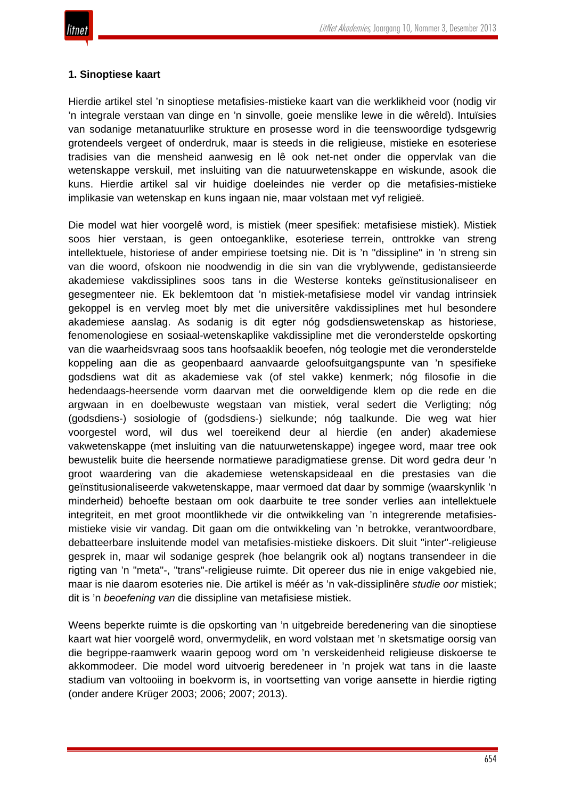# **1. Sinoptiese kaart**

Hierdie artikel stel 'n sinoptiese metafisies-mistieke kaart van die werklikheid voor (nodig vir 'n integrale verstaan van dinge en 'n sinvolle, goeie menslike lewe in die wêreld). Intuïsies van sodanige metanatuurlike strukture en prosesse word in die teenswoordige tydsgewrig grotendeels vergeet of onderdruk, maar is steeds in die religieuse, mistieke en esoteriese tradisies van die mensheid aanwesig en lê ook net-net onder die oppervlak van die wetenskappe verskuil, met insluiting van die natuurwetenskappe en wiskunde, asook die kuns. Hierdie artikel sal vir huidige doeleindes nie verder op die metafisies-mistieke implikasie van wetenskap en kuns ingaan nie, maar volstaan met vyf religieë.

Die model wat hier voorgelê word, is mistiek (meer spesifiek: metafisiese mistiek). Mistiek soos hier verstaan, is geen ontoeganklike, esoteriese terrein, onttrokke van streng intellektuele, historiese of ander empiriese toetsing nie. Dit is 'n "dissipline" in 'n streng sin van die woord, ofskoon nie noodwendig in die sin van die vryblywende, gedistansieerde akademiese vakdissiplines soos tans in die Westerse konteks geïnstitusionaliseer en gesegmenteer nie. Ek beklemtoon dat 'n mistiek-metafisiese model vir vandag intrinsiek gekoppel is en vervleg moet bly met die universitêre vakdissiplines met hul besondere akademiese aanslag. As sodanig is dit egter nóg godsdienswetenskap as historiese, fenomenologiese en sosiaal-wetenskaplike vakdissipline met die veronderstelde opskorting van die waarheidsvraag soos tans hoofsaaklik beoefen, nóg teologie met die veronderstelde koppeling aan die as geopenbaard aanvaarde geloofsuitgangspunte van 'n spesifieke godsdiens wat dit as akademiese vak (of stel vakke) kenmerk; nóg filosofie in die hedendaags-heersende vorm daarvan met die oorweldigende klem op die rede en die argwaan in en doelbewuste wegstaan van mistiek, veral sedert die Verligting; nóg (godsdiens-) sosiologie of (godsdiens-) sielkunde; nóg taalkunde. Die weg wat hier voorgestel word, wil dus wel toereikend deur al hierdie (en ander) akademiese vakwetenskappe (met insluiting van die natuurwetenskappe) ingegee word, maar tree ook bewustelik buite die heersende normatiewe paradigmatiese grense. Dit word gedra deur 'n groot waardering van die akademiese wetenskapsideaal en die prestasies van die geïnstitusionaliseerde vakwetenskappe, maar vermoed dat daar by sommige (waarskynlik 'n minderheid) behoefte bestaan om ook daarbuite te tree sonder verlies aan intellektuele integriteit, en met groot moontlikhede vir die ontwikkeling van 'n integrerende metafisiesmistieke visie vir vandag. Dit gaan om die ontwikkeling van 'n betrokke, verantwoordbare, debatteerbare insluitende model van metafisies-mistieke diskoers. Dit sluit "inter"-religieuse gesprek in, maar wil sodanige gesprek (hoe belangrik ook al) nogtans transendeer in die rigting van 'n "meta"-, "trans"-religieuse ruimte. Dit opereer dus nie in enige vakgebied nie, maar is nie daarom esoteries nie. Die artikel is méér as 'n vak-dissiplinêre *studie oor* mistiek; dit is 'n *beoefening van* die dissipline van metafisiese mistiek.

Weens beperkte ruimte is die opskorting van 'n uitgebreide beredenering van die sinoptiese kaart wat hier voorgelê word, onvermydelik, en word volstaan met 'n sketsmatige oorsig van die begrippe-raamwerk waarin gepoog word om 'n verskeidenheid religieuse diskoerse te akkommodeer. Die model word uitvoerig beredeneer in 'n projek wat tans in die laaste stadium van voltooiing in boekvorm is, in voortsetting van vorige aansette in hierdie rigting (onder andere Krüger 2003; 2006; 2007; 2013).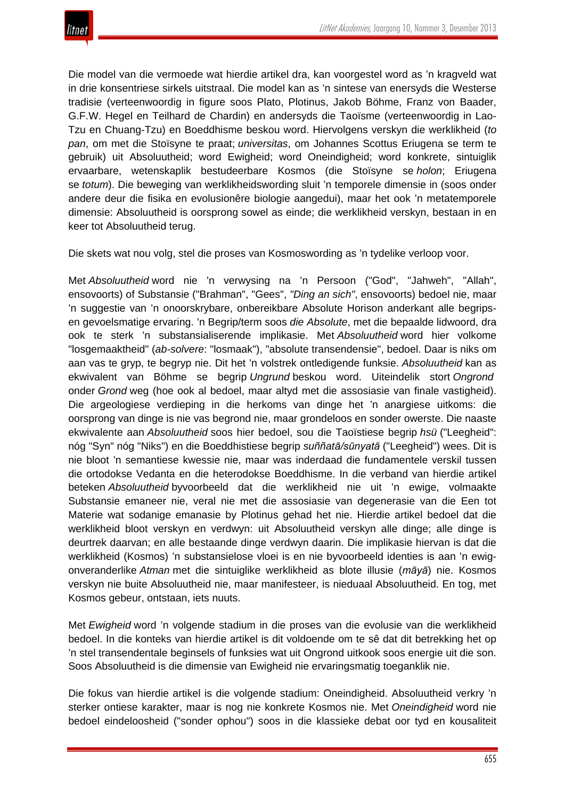Die model van die vermoede wat hierdie artikel dra, kan voorgestel word as 'n kragveld wat in drie konsentriese sirkels uitstraal. Die model kan as 'n sintese van enersyds die Westerse tradisie (verteenwoordig in figure soos Plato, Plotinus, Jakob Böhme, Franz von Baader, G.F.W. Hegel en Teilhard de Chardin) en andersyds die Taoïsme (verteenwoordig in Lao-Tzu en Chuang-Tzu) en Boeddhisme beskou word. Hiervolgens verskyn die werklikheid (*to pan*, om met die Stoïsyne te praat; *universitas*, om Johannes Scottus Eriugena se term te gebruik) uit Absoluutheid; word Ewigheid; word Oneindigheid; word konkrete, sintuiglik ervaarbare, wetenskaplik bestudeerbare Kosmos (die Stoïsyne se *holon*; Eriugena se *totum*). Die beweging van werklikheidswording sluit 'n temporele dimensie in (soos onder andere deur die fisika en evolusionêre biologie aangedui), maar het ook 'n metatemporele dimensie: Absoluutheid is oorsprong sowel as einde; die werklikheid verskyn, bestaan in en keer tot Absoluutheid terug.

Die skets wat nou volg, stel die proses van Kosmoswording as 'n tydelike verloop voor.

Met *Absoluutheid* word nie 'n verwysing na 'n Persoon ("God", "Jahweh", "Allah", ensovoorts) of Substansie ("Brahman", "Gees", *"Ding an sich"*, ensovoorts) bedoel nie, maar 'n suggestie van 'n onoorskrybare, onbereikbare Absolute Horison anderkant alle begripsen gevoelsmatige ervaring. 'n Begrip/term soos *die Absolute*, met die bepaalde lidwoord, dra ook te sterk 'n substansialiserende implikasie. Met *Absoluutheid* word hier volkome "losgemaaktheid" (*ab-solvere*: "losmaak"), "absolute transendensie", bedoel. Daar is niks om aan vas te gryp, te begryp nie. Dit het 'n volstrek ontledigende funksie. *Absoluutheid* kan as ekwivalent van Böhme se begrip *Ungrund* beskou word. Uiteindelik stort *Ongrond* onder *Grond* weg (hoe ook al bedoel, maar altyd met die assosiasie van finale vastigheid). Die argeologiese verdieping in die herkoms van dinge het 'n anargiese uitkoms: die oorsprong van dinge is nie vas begrond nie, maar grondeloos en sonder owerste. Die naaste ekwivalente aan *Absoluutheid* soos hier bedoel, sou die Taoïstiese begrip *hsü* ("Leegheid": nóg "Syn" nóg "Niks") en die Boeddhistiese begrip *suññatā/sūnyatā* ("Leegheid") wees. Dit is nie bloot 'n semantiese kwessie nie, maar was inderdaad die fundamentele verskil tussen die ortodokse Vedanta en die heterodokse Boeddhisme. In die verband van hierdie artikel beteken *Absoluutheid* byvoorbeeld dat die werklikheid nie uit 'n ewige, volmaakte Substansie emaneer nie, veral nie met die assosiasie van degenerasie van die Een tot Materie wat sodanige emanasie by Plotinus gehad het nie. Hierdie artikel bedoel dat die werklikheid bloot verskyn en verdwyn: uit Absoluutheid verskyn alle dinge; alle dinge is deurtrek daarvan; en alle bestaande dinge verdwyn daarin. Die implikasie hiervan is dat die werklikheid (Kosmos) 'n substansielose vloei is en nie byvoorbeeld identies is aan 'n ewigonveranderlike *Atman* met die sintuiglike werklikheid as blote illusie (*māyā*) nie. Kosmos verskyn nie buite Absoluutheid nie, maar manifesteer, is nieduaal Absoluutheid. En tog, met Kosmos gebeur, ontstaan, iets nuuts.

Met *Ewigheid* word 'n volgende stadium in die proses van die evolusie van die werklikheid bedoel. In die konteks van hierdie artikel is dit voldoende om te sê dat dit betrekking het op 'n stel transendentale beginsels of funksies wat uit Ongrond uitkook soos energie uit die son. Soos Absoluutheid is die dimensie van Ewigheid nie ervaringsmatig toeganklik nie.

Die fokus van hierdie artikel is die volgende stadium: Oneindigheid. Absoluutheid verkry 'n sterker ontiese karakter, maar is nog nie konkrete Kosmos nie. Met *Oneindigheid* word nie bedoel eindeloosheid ("sonder ophou") soos in die klassieke debat oor tyd en kousaliteit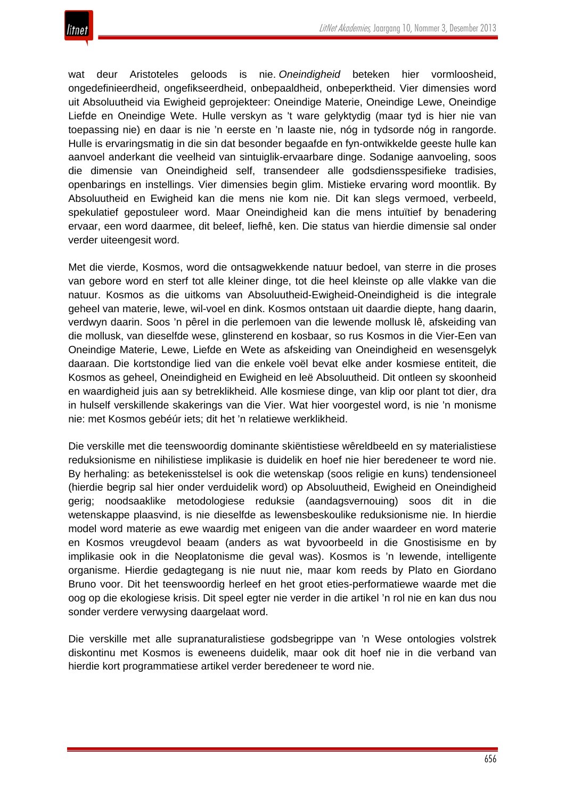

wat deur Aristoteles geloods is nie. *Oneindigheid* beteken hier vormloosheid, ongedefinieerdheid, ongefikseerdheid, onbepaaldheid, onbeperktheid. Vier dimensies word uit Absoluutheid via Ewigheid geprojekteer: Oneindige Materie, Oneindige Lewe, Oneindige Liefde en Oneindige Wete. Hulle verskyn as 't ware gelyktydig (maar tyd is hier nie van toepassing nie) en daar is nie 'n eerste en 'n laaste nie, nóg in tydsorde nóg in rangorde. Hulle is ervaringsmatig in die sin dat besonder begaafde en fyn-ontwikkelde geeste hulle kan aanvoel anderkant die veelheid van sintuiglik-ervaarbare dinge. Sodanige aanvoeling, soos die dimensie van Oneindigheid self, transendeer alle godsdiensspesifieke tradisies, openbarings en instellings. Vier dimensies begin glim. Mistieke ervaring word moontlik. By Absoluutheid en Ewigheid kan die mens nie kom nie. Dit kan slegs vermoed, verbeeld, spekulatief gepostuleer word. Maar Oneindigheid kan die mens intuïtief by benadering ervaar, een word daarmee, dit beleef, liefhê, ken. Die status van hierdie dimensie sal onder verder uiteengesit word.

Met die vierde, Kosmos, word die ontsagwekkende natuur bedoel, van sterre in die proses van gebore word en sterf tot alle kleiner dinge, tot die heel kleinste op alle vlakke van die natuur. Kosmos as die uitkoms van Absoluutheid-Ewigheid-Oneindigheid is die integrale geheel van materie, lewe, wil-voel en dink. Kosmos ontstaan uit daardie diepte, hang daarin, verdwyn daarin. Soos 'n pêrel in die perlemoen van die lewende mollusk lê, afskeiding van die mollusk, van dieselfde wese, glinsterend en kosbaar, so rus Kosmos in die Vier-Een van Oneindige Materie, Lewe, Liefde en Wete as afskeiding van Oneindigheid en wesensgelyk daaraan. Die kortstondige lied van die enkele voël bevat elke ander kosmiese entiteit, die Kosmos as geheel, Oneindigheid en Ewigheid en leë Absoluutheid. Dit ontleen sy skoonheid en waardigheid juis aan sy betreklikheid. Alle kosmiese dinge, van klip oor plant tot dier, dra in hulself verskillende skakerings van die Vier. Wat hier voorgestel word, is nie 'n monisme nie: met Kosmos gebéúr iets; dit het 'n relatiewe werklikheid.

Die verskille met die teenswoordig dominante skiëntistiese wêreldbeeld en sy materialistiese reduksionisme en nihilistiese implikasie is duidelik en hoef nie hier beredeneer te word nie. By herhaling: as betekenisstelsel is ook die wetenskap (soos religie en kuns) tendensioneel (hierdie begrip sal hier onder verduidelik word) op Absoluutheid, Ewigheid en Oneindigheid gerig; noodsaaklike metodologiese reduksie (aandagsvernouing) soos dit in die wetenskappe plaasvind, is nie dieselfde as lewensbeskoulike reduksionisme nie. In hierdie model word materie as ewe waardig met enigeen van die ander waardeer en word materie en Kosmos vreugdevol beaam (anders as wat byvoorbeeld in die Gnostisisme en by implikasie ook in die Neoplatonisme die geval was). Kosmos is 'n lewende, intelligente organisme. Hierdie gedagtegang is nie nuut nie, maar kom reeds by Plato en Giordano Bruno voor. Dit het teenswoordig herleef en het groot eties-performatiewe waarde met die oog op die ekologiese krisis. Dit speel egter nie verder in die artikel 'n rol nie en kan dus nou sonder verdere verwysing daargelaat word.

Die verskille met alle supranaturalistiese godsbegrippe van 'n Wese ontologies volstrek diskontinu met Kosmos is eweneens duidelik, maar ook dit hoef nie in die verband van hierdie kort programmatiese artikel verder beredeneer te word nie.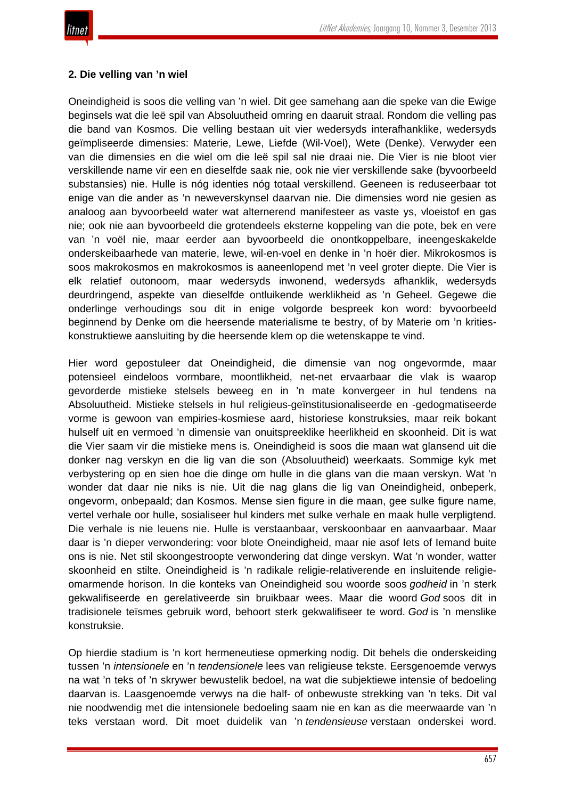

# **2. Die velling van 'n wiel**

Oneindigheid is soos die velling van 'n wiel. Dit gee samehang aan die speke van die Ewige beginsels wat die leë spil van Absoluutheid omring en daaruit straal. Rondom die velling pas die band van Kosmos. Die velling bestaan uit vier wedersyds interafhanklike, wedersyds geïmpliseerde dimensies: Materie, Lewe, Liefde (Wil-Voel), Wete (Denke). Verwyder een van die dimensies en die wiel om die leë spil sal nie draai nie. Die Vier is nie bloot vier verskillende name vir een en dieselfde saak nie, ook nie vier verskillende sake (byvoorbeeld substansies) nie. Hulle is nóg identies nóg totaal verskillend. Geeneen is reduseerbaar tot enige van die ander as 'n neweverskynsel daarvan nie. Die dimensies word nie gesien as analoog aan byvoorbeeld water wat alternerend manifesteer as vaste ys, vloeistof en gas nie; ook nie aan byvoorbeeld die grotendeels eksterne koppeling van die pote, bek en vere van 'n voël nie, maar eerder aan byvoorbeeld die onontkoppelbare, ineengeskakelde onderskeibaarhede van materie, lewe, wil-en-voel en denke in 'n hoër dier. Mikrokosmos is soos makrokosmos en makrokosmos is aaneenlopend met 'n veel groter diepte. Die Vier is elk relatief outonoom, maar wedersyds inwonend, wedersyds afhanklik, wedersyds deurdringend, aspekte van dieselfde ontluikende werklikheid as 'n Geheel. Gegewe die onderlinge verhoudings sou dit in enige volgorde bespreek kon word: byvoorbeeld beginnend by Denke om die heersende materialisme te bestry, of by Materie om 'n kritieskonstruktiewe aansluiting by die heersende klem op die wetenskappe te vind.

Hier word gepostuleer dat Oneindigheid, die dimensie van nog ongevormde, maar potensieel eindeloos vormbare, moontlikheid, net-net ervaarbaar die vlak is waarop gevorderde mistieke stelsels beweeg en in 'n mate konvergeer in hul tendens na Absoluutheid. Mistieke stelsels in hul religieus-geïnstitusionaliseerde en -gedogmatiseerde vorme is gewoon van empiries-kosmiese aard, historiese konstruksies, maar reik bokant hulself uit en vermoed 'n dimensie van onuitspreeklike heerlikheid en skoonheid. Dit is wat die Vier saam vir die mistieke mens is. Oneindigheid is soos die maan wat glansend uit die donker nag verskyn en die lig van die son (Absoluutheid) weerkaats. Sommige kyk met verbystering op en sien hoe die dinge om hulle in die glans van die maan verskyn. Wat 'n wonder dat daar nie niks is nie. Uit die nag glans die lig van Oneindigheid, onbeperk, ongevorm, onbepaald; dan Kosmos. Mense sien figure in die maan, gee sulke figure name, vertel verhale oor hulle, sosialiseer hul kinders met sulke verhale en maak hulle verpligtend. Die verhale is nie leuens nie. Hulle is verstaanbaar, verskoonbaar en aanvaarbaar. Maar daar is 'n dieper verwondering: voor blote Oneindigheid, maar nie asof Iets of Iemand buite ons is nie. Net stil skoongestroopte verwondering dat dinge verskyn. Wat 'n wonder, watter skoonheid en stilte. Oneindigheid is 'n radikale religie-relativerende en insluitende religieomarmende horison. In die konteks van Oneindigheid sou woorde soos *godheid* in 'n sterk gekwalifiseerde en gerelativeerde sin bruikbaar wees. Maar die woord *God* soos dit in tradisionele teïsmes gebruik word, behoort sterk gekwalifiseer te word. *God* is 'n menslike konstruksie.

Op hierdie stadium is 'n kort hermeneutiese opmerking nodig. Dit behels die onderskeiding tussen 'n *intensionele* en 'n *tendensionele* lees van religieuse tekste. Eersgenoemde verwys na wat 'n teks of 'n skrywer bewustelik bedoel, na wat die subjektiewe intensie of bedoeling daarvan is. Laasgenoemde verwys na die half- of onbewuste strekking van 'n teks. Dit val nie noodwendig met die intensionele bedoeling saam nie en kan as die meerwaarde van 'n teks verstaan word. Dit moet duidelik van 'n *tendensieuse* verstaan onderskei word.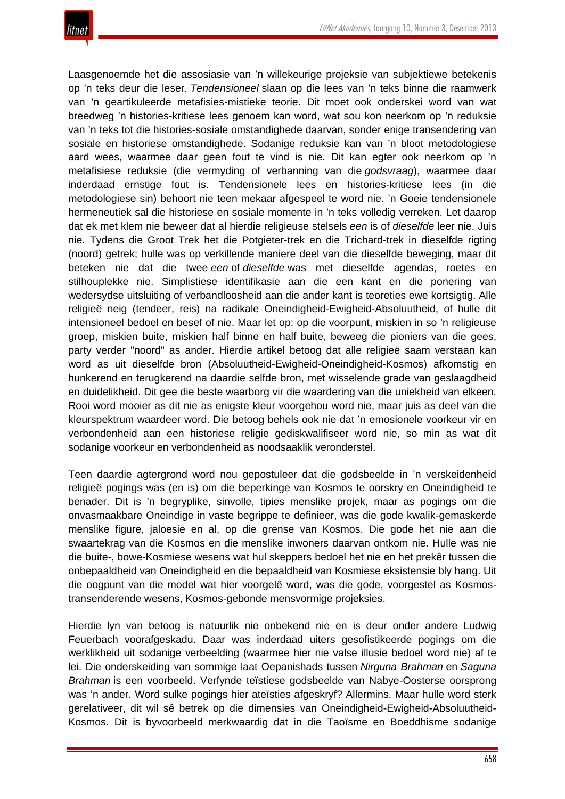

Laasgenoemde het die assosiasie van 'n willekeurige projeksie van subjektiewe betekenis op 'n teks deur die leser. *Tendensioneel* slaan op die lees van 'n teks binne die raamwerk van 'n geartikuleerde metafisies-mistieke teorie. Dit moet ook onderskei word van wat breedweg 'n histories-kritiese lees genoem kan word, wat sou kon neerkom op 'n reduksie van 'n teks tot die histories-sosiale omstandighede daarvan, sonder enige transendering van sosiale en historiese omstandighede. Sodanige reduksie kan van 'n bloot metodologiese aard wees, waarmee daar geen fout te vind is nie. Dit kan egter ook neerkom op 'n metafisiese reduksie (die vermyding of verbanning van die *godsvraag*), waarmee daar inderdaad ernstige fout is. Tendensionele lees en histories-kritiese lees (in die metodologiese sin) behoort nie teen mekaar afgespeel te word nie. 'n Goeie tendensionele hermeneutiek sal die historiese en sosiale momente in 'n teks volledig verreken. Let daarop dat ek met klem nie beweer dat al hierdie religieuse stelsels *een* is of *dieselfde* leer nie. Juis nie. Tydens die Groot Trek het die Potgieter-trek en die Trichard-trek in dieselfde rigting (noord) getrek; hulle was op verkillende maniere deel van die dieselfde beweging, maar dit beteken nie dat die twee *een* of *dieselfde* was met dieselfde agendas, roetes en stilhouplekke nie. Simplistiese identifikasie aan die een kant en die ponering van wedersydse uitsluiting of verbandloosheid aan die ander kant is teoreties ewe kortsigtig. Alle religieë neig (tendeer, reis) na radikale Oneindigheid-Ewigheid-Absoluutheid, of hulle dit intensioneel bedoel en besef of nie. Maar let op: op die voorpunt, miskien in so 'n religieuse groep, miskien buite, miskien half binne en half buite, beweeg die pioniers van die gees, party verder "noord" as ander. Hierdie artikel betoog dat alle religieë saam verstaan kan word as uit dieselfde bron (Absoluutheid-Ewigheid-Oneindigheid-Kosmos) afkomstig en hunkerend en terugkerend na daardie selfde bron, met wisselende grade van geslaagdheid en duidelikheid. Dit gee die beste waarborg vir die waardering van die uniekheid van elkeen. Rooi word mooier as dit nie as enigste kleur voorgehou word nie, maar juis as deel van die kleurspektrum waardeer word. Die betoog behels ook nie dat 'n emosionele voorkeur vir en verbondenheid aan een historiese religie gediskwalifiseer word nie, so min as wat dit sodanige voorkeur en verbondenheid as noodsaaklik veronderstel.

Teen daardie agtergrond word nou gepostuleer dat die godsbeelde in 'n verskeidenheid religieë pogings was (en is) om die beperkinge van Kosmos te oorskry en Oneindigheid te benader. Dit is 'n begryplike, sinvolle, tipies menslike projek, maar as pogings om die onvasmaakbare Oneindige in vaste begrippe te definieer, was die gode kwalik-gemaskerde menslike figure, jaloesie en al, op die grense van Kosmos. Die gode het nie aan die swaartekrag van die Kosmos en die menslike inwoners daarvan ontkom nie. Hulle was nie die buite-, bowe-Kosmiese wesens wat hul skeppers bedoel het nie en het prekêr tussen die onbepaaldheid van Oneindigheid en die bepaaldheid van Kosmiese eksistensie bly hang. Uit die oogpunt van die model wat hier voorgelê word, was die gode, voorgestel as Kosmostransenderende wesens, Kosmos-gebonde mensvormige projeksies.

Hierdie lyn van betoog is natuurlik nie onbekend nie en is deur onder andere Ludwig Feuerbach voorafgeskadu. Daar was inderdaad uiters gesofistikeerde pogings om die werklikheid uit sodanige verbeelding (waarmee hier nie valse illusie bedoel word nie) af te lei. Die onderskeiding van sommige laat Oepanishads tussen *Nirguna Brahman* en *Saguna Brahman* is een voorbeeld. Verfynde teïstiese godsbeelde van Nabye-Oosterse oorsprong was 'n ander. Word sulke pogings hier ateïsties afgeskryf? Allermins. Maar hulle word sterk gerelativeer, dit wil sê betrek op die dimensies van Oneindigheid-Ewigheid-Absoluutheid-Kosmos. Dit is byvoorbeeld merkwaardig dat in die Taoïsme en Boeddhisme sodanige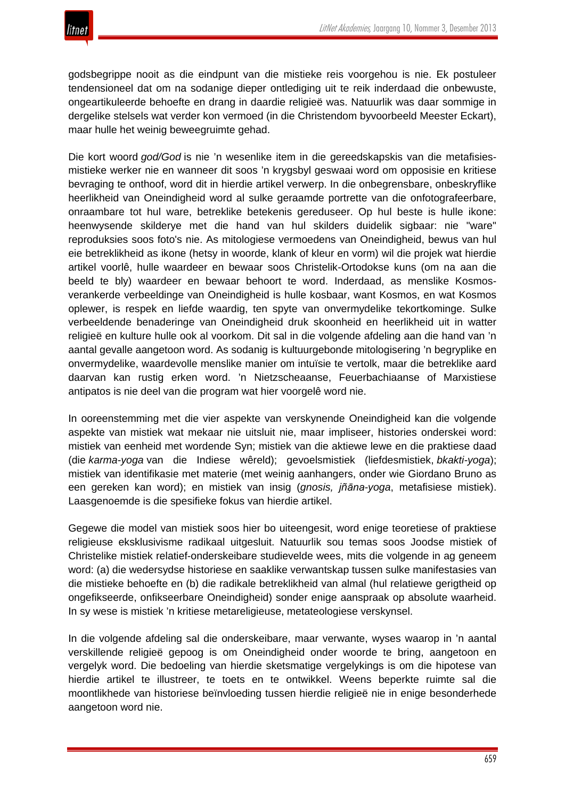godsbegrippe nooit as die eindpunt van die mistieke reis voorgehou is nie. Ek postuleer tendensioneel dat om na sodanige dieper ontlediging uit te reik inderdaad die onbewuste, ongeartikuleerde behoefte en drang in daardie religieë was. Natuurlik was daar sommige in dergelike stelsels wat verder kon vermoed (in die Christendom byvoorbeeld Meester Eckart), maar hulle het weinig beweegruimte gehad.

Die kort woord *god/God* is nie 'n wesenlike item in die gereedskapskis van die metafisiesmistieke werker nie en wanneer dit soos 'n krygsbyl geswaai word om opposisie en kritiese bevraging te onthoof, word dit in hierdie artikel verwerp. In die onbegrensbare, onbeskryflike heerlikheid van Oneindigheid word al sulke geraamde portrette van die onfotografeerbare, onraambare tot hul ware, betreklike betekenis gereduseer. Op hul beste is hulle ikone: heenwysende skilderye met die hand van hul skilders duidelik sigbaar: nie "ware" reproduksies soos foto's nie. As mitologiese vermoedens van Oneindigheid, bewus van hul eie betreklikheid as ikone (hetsy in woorde, klank of kleur en vorm) wil die projek wat hierdie artikel voorlê, hulle waardeer en bewaar soos Christelik-Ortodokse kuns (om na aan die beeld te bly) waardeer en bewaar behoort te word. Inderdaad, as menslike Kosmosverankerde verbeeldinge van Oneindigheid is hulle kosbaar, want Kosmos, en wat Kosmos oplewer, is respek en liefde waardig, ten spyte van onvermydelike tekortkominge. Sulke verbeeldende benaderinge van Oneindigheid druk skoonheid en heerlikheid uit in watter religieë en kulture hulle ook al voorkom. Dit sal in die volgende afdeling aan die hand van 'n aantal gevalle aangetoon word. As sodanig is kultuurgebonde mitologisering 'n begryplike en onvermydelike, waardevolle menslike manier om intuïsie te vertolk, maar die betreklike aard daarvan kan rustig erken word. 'n Nietzscheaanse, Feuerbachiaanse of Marxistiese antipatos is nie deel van die program wat hier voorgelê word nie.

In ooreenstemming met die vier aspekte van verskynende Oneindigheid kan die volgende aspekte van mistiek wat mekaar nie uitsluit nie, maar impliseer, histories onderskei word: mistiek van eenheid met wordende Syn; mistiek van die aktiewe lewe en die praktiese daad (die *karma-yoga* van die Indiese wêreld); gevoelsmistiek (liefdesmistiek, *bkakti-yoga*); mistiek van identifikasie met materie (met weinig aanhangers, onder wie Giordano Bruno as een gereken kan word); en mistiek van insig (*gnosis, jñāna-yoga*, metafisiese mistiek). Laasgenoemde is die spesifieke fokus van hierdie artikel.

Gegewe die model van mistiek soos hier bo uiteengesit, word enige teoretiese of praktiese religieuse eksklusivisme radikaal uitgesluit. Natuurlik sou temas soos Joodse mistiek of Christelike mistiek relatief-onderskeibare studievelde wees, mits die volgende in ag geneem word: (a) die wedersydse historiese en saaklike verwantskap tussen sulke manifestasies van die mistieke behoefte en (b) die radikale betreklikheid van almal (hul relatiewe gerigtheid op ongefikseerde, onfikseerbare Oneindigheid) sonder enige aanspraak op absolute waarheid. In sy wese is mistiek 'n kritiese metareligieuse, metateologiese verskynsel.

In die volgende afdeling sal die onderskeibare, maar verwante, wyses waarop in 'n aantal verskillende religieë gepoog is om Oneindigheid onder woorde te bring, aangetoon en vergelyk word. Die bedoeling van hierdie sketsmatige vergelykings is om die hipotese van hierdie artikel te illustreer, te toets en te ontwikkel. Weens beperkte ruimte sal die moontlikhede van historiese beïnvloeding tussen hierdie religieë nie in enige besonderhede aangetoon word nie.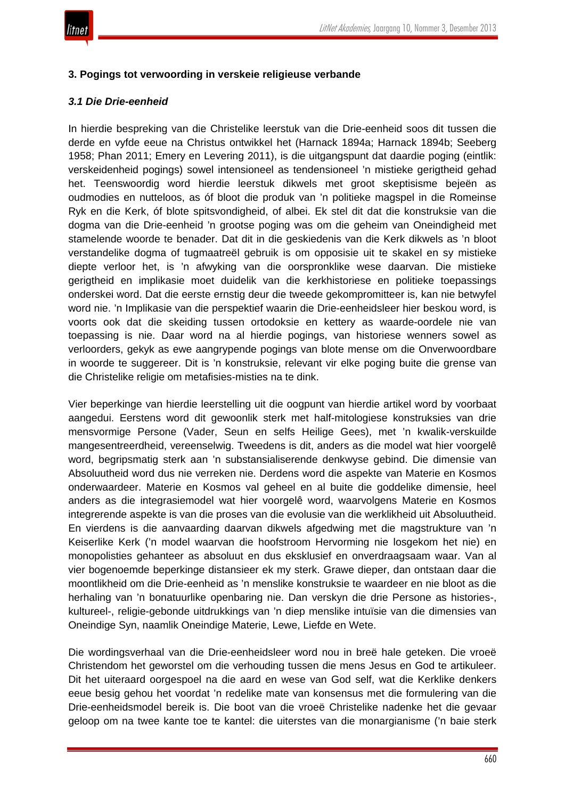

## **3. Pogings tot verwoording in verskeie religieuse verbande**

#### *3.1 Die Drie-eenheid*

In hierdie bespreking van die Christelike leerstuk van die Drie-eenheid soos dit tussen die derde en vyfde eeue na Christus ontwikkel het (Harnack 1894a; Harnack 1894b; Seeberg 1958; Phan 2011; Emery en Levering 2011), is die uitgangspunt dat daardie poging (eintlik: verskeidenheid pogings) sowel intensioneel as tendensioneel 'n mistieke gerigtheid gehad het. Teenswoordig word hierdie leerstuk dikwels met groot skeptisisme bejeën as oudmodies en nutteloos, as óf bloot die produk van 'n politieke magspel in die Romeinse Ryk en die Kerk, óf blote spitsvondigheid, of albei. Ek stel dit dat die konstruksie van die dogma van die Drie-eenheid 'n grootse poging was om die geheim van Oneindigheid met stamelende woorde te benader. Dat dit in die geskiedenis van die Kerk dikwels as 'n bloot verstandelike dogma of tugmaatreël gebruik is om opposisie uit te skakel en sy mistieke diepte verloor het, is 'n afwyking van die oorspronklike wese daarvan. Die mistieke gerigtheid en implikasie moet duidelik van die kerkhistoriese en politieke toepassings onderskei word. Dat die eerste ernstig deur die tweede gekompromitteer is, kan nie betwyfel word nie. 'n Implikasie van die perspektief waarin die Drie-eenheidsleer hier beskou word, is voorts ook dat die skeiding tussen ortodoksie en kettery as waarde-oordele nie van toepassing is nie. Daar word na al hierdie pogings, van historiese wenners sowel as verloorders, gekyk as ewe aangrypende pogings van blote mense om die Onverwoordbare in woorde te suggereer. Dit is 'n konstruksie, relevant vir elke poging buite die grense van die Christelike religie om metafisies-misties na te dink.

Vier beperkinge van hierdie leerstelling uit die oogpunt van hierdie artikel word by voorbaat aangedui. Eerstens word dit gewoonlik sterk met half-mitologiese konstruksies van drie mensvormige Persone (Vader, Seun en selfs Heilige Gees), met 'n kwalik-verskuilde mangesentreerdheid, vereenselwig. Tweedens is dit, anders as die model wat hier voorgelê word, begripsmatig sterk aan 'n substansialiserende denkwyse gebind. Die dimensie van Absoluutheid word dus nie verreken nie. Derdens word die aspekte van Materie en Kosmos onderwaardeer. Materie en Kosmos val geheel en al buite die goddelike dimensie, heel anders as die integrasiemodel wat hier voorgelê word, waarvolgens Materie en Kosmos integrerende aspekte is van die proses van die evolusie van die werklikheid uit Absoluutheid. En vierdens is die aanvaarding daarvan dikwels afgedwing met die magstrukture van 'n Keiserlike Kerk ('n model waarvan die hoofstroom Hervorming nie losgekom het nie) en monopolisties gehanteer as absoluut en dus eksklusief en onverdraagsaam waar. Van al vier bogenoemde beperkinge distansieer ek my sterk. Grawe dieper, dan ontstaan daar die moontlikheid om die Drie-eenheid as 'n menslike konstruksie te waardeer en nie bloot as die herhaling van 'n bonatuurlike openbaring nie. Dan verskyn die drie Persone as histories-, kultureel-, religie-gebonde uitdrukkings van 'n diep menslike intuïsie van die dimensies van Oneindige Syn, naamlik Oneindige Materie, Lewe, Liefde en Wete.

Die wordingsverhaal van die Drie-eenheidsleer word nou in breë hale geteken. Die vroeë Christendom het geworstel om die verhouding tussen die mens Jesus en God te artikuleer. Dit het uiteraard oorgespoel na die aard en wese van God self, wat die Kerklike denkers eeue besig gehou het voordat 'n redelike mate van konsensus met die formulering van die Drie-eenheidsmodel bereik is. Die boot van die vroeë Christelike nadenke het die gevaar geloop om na twee kante toe te kantel: die uiterstes van die monargianisme ('n baie sterk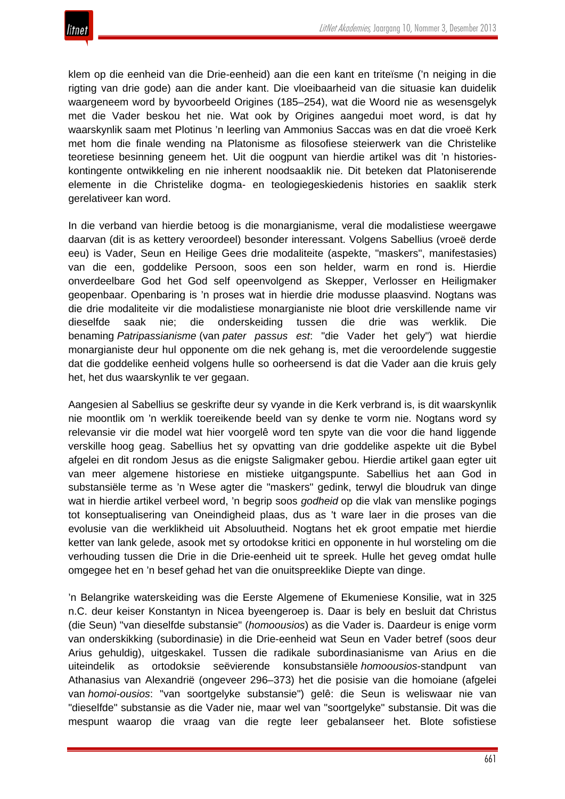klem op die eenheid van die Drie-eenheid) aan die een kant en triteïsme ('n neiging in die rigting van drie gode) aan die ander kant. Die vloeibaarheid van die situasie kan duidelik waargeneem word by byvoorbeeld Origines (185–254), wat die Woord nie as wesensgelyk met die Vader beskou het nie. Wat ook by Origines aangedui moet word, is dat hy waarskynlik saam met Plotinus 'n leerling van Ammonius Saccas was en dat die vroeë Kerk met hom die finale wending na Platonisme as filosofiese steierwerk van die Christelike teoretiese besinning geneem het. Uit die oogpunt van hierdie artikel was dit 'n historieskontingente ontwikkeling en nie inherent noodsaaklik nie. Dit beteken dat Platoniserende elemente in die Christelike dogma- en teologiegeskiedenis histories en saaklik sterk gerelativeer kan word.

In die verband van hierdie betoog is die monargianisme, veral die modalistiese weergawe daarvan (dit is as kettery veroordeel) besonder interessant. Volgens Sabellius (vroeë derde eeu) is Vader, Seun en Heilige Gees drie modaliteite (aspekte, "maskers", manifestasies) van die een, goddelike Persoon, soos een son helder, warm en rond is. Hierdie onverdeelbare God het God self opeenvolgend as Skepper, Verlosser en Heiligmaker geopenbaar. Openbaring is 'n proses wat in hierdie drie modusse plaasvind. Nogtans was die drie modaliteite vir die modalistiese monargianiste nie bloot drie verskillende name vir dieselfde saak nie; die onderskeiding tussen die drie was werklik. Die benaming *Patripassianisme* (van *pater passus est*: "die Vader het gely") wat hierdie monargianiste deur hul opponente om die nek gehang is, met die veroordelende suggestie dat die goddelike eenheid volgens hulle so oorheersend is dat die Vader aan die kruis gely het, het dus waarskynlik te ver gegaan.

Aangesien al Sabellius se geskrifte deur sy vyande in die Kerk verbrand is, is dit waarskynlik nie moontlik om 'n werklik toereikende beeld van sy denke te vorm nie. Nogtans word sy relevansie vir die model wat hier voorgelê word ten spyte van die voor die hand liggende verskille hoog geag. Sabellius het sy opvatting van drie goddelike aspekte uit die Bybel afgelei en dit rondom Jesus as die enigste Saligmaker gebou. Hierdie artikel gaan egter uit van meer algemene historiese en mistieke uitgangspunte. Sabellius het aan God in substansiële terme as 'n Wese agter die "maskers" gedink, terwyl die bloudruk van dinge wat in hierdie artikel verbeel word, 'n begrip soos *godheid* op die vlak van menslike pogings tot konseptualisering van Oneindigheid plaas, dus as 't ware laer in die proses van die evolusie van die werklikheid uit Absoluutheid. Nogtans het ek groot empatie met hierdie ketter van lank gelede, asook met sy ortodokse kritici en opponente in hul worsteling om die verhouding tussen die Drie in die Drie-eenheid uit te spreek. Hulle het geveg omdat hulle omgegee het en 'n besef gehad het van die onuitspreeklike Diepte van dinge.

'n Belangrike waterskeiding was die Eerste Algemene of Ekumeniese Konsilie, wat in 325 n.C. deur keiser Konstantyn in Nicea byeengeroep is. Daar is bely en besluit dat Christus (die Seun) "van dieselfde substansie" (*homoousios*) as die Vader is. Daardeur is enige vorm van onderskikking (subordinasie) in die Drie-eenheid wat Seun en Vader betref (soos deur Arius gehuldig), uitgeskakel. Tussen die radikale subordinasianisme van Arius en die uiteindelik as ortodoksie seëvierende konsubstansiële *homoousios*-standpunt van Athanasius van Alexandrië (ongeveer 296–373) het die posisie van die homoiane (afgelei van *homoi-ousios*: "van soortgelyke substansie") gelê: die Seun is weliswaar nie van "dieselfde" substansie as die Vader nie, maar wel van "soortgelyke" substansie. Dit was die mespunt waarop die vraag van die regte leer gebalanseer het. Blote sofistiese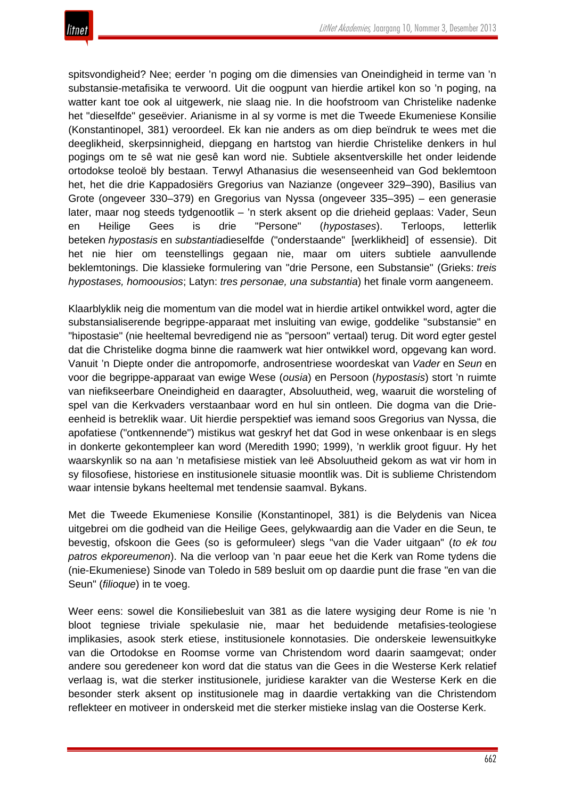

spitsvondigheid? Nee; eerder 'n poging om die dimensies van Oneindigheid in terme van 'n substansie-metafisika te verwoord. Uit die oogpunt van hierdie artikel kon so 'n poging, na watter kant toe ook al uitgewerk, nie slaag nie. In die hoofstroom van Christelike nadenke het "dieselfde" geseëvier. Arianisme in al sy vorme is met die Tweede Ekumeniese Konsilie (Konstantinopel, 381) veroordeel. Ek kan nie anders as om diep beïndruk te wees met die deeglikheid, skerpsinnigheid, diepgang en hartstog van hierdie Christelike denkers in hul pogings om te sê wat nie gesê kan word nie. Subtiele aksentverskille het onder leidende ortodokse teoloë bly bestaan. Terwyl Athanasius die wesenseenheid van God beklemtoon het, het die drie Kappadosiërs Gregorius van Nazianze (ongeveer 329–390), Basilius van Grote (ongeveer 330–379) en Gregorius van Nyssa (ongeveer 335–395) – een generasie later, maar nog steeds tydgenootlik – 'n sterk aksent op die drieheid geplaas: Vader, Seun en Heilige Gees is drie "Persone" (*hypostases*). Terloops, letterlik beteken *hypostasis* en *substantia*dieselfde ("onderstaande" [werklikheid] of essensie). Dit het nie hier om teenstellings gegaan nie, maar om uiters subtiele aanvullende beklemtonings. Die klassieke formulering van "drie Persone, een Substansie" (Grieks: *treis hypostases, homoousios*; Latyn: *tres personae, una substantia*) het finale vorm aangeneem.

Klaarblyklik neig die momentum van die model wat in hierdie artikel ontwikkel word, agter die substansialiserende begrippe-apparaat met insluiting van ewige, goddelike "substansie" en "hipostasie" (nie heeltemal bevredigend nie as "persoon" vertaal) terug. Dit word egter gestel dat die Christelike dogma binne die raamwerk wat hier ontwikkel word, opgevang kan word. Vanuit 'n Diepte onder die antropomorfe, androsentriese woordeskat van *Vader* en *Seun* en voor die begrippe-apparaat van ewige Wese (*ousia*) en Persoon (*hypostasis*) stort 'n ruimte van niefikseerbare Oneindigheid en daaragter, Absoluutheid, weg, waaruit die worsteling of spel van die Kerkvaders verstaanbaar word en hul sin ontleen. Die dogma van die Drieeenheid is betreklik waar. Uit hierdie perspektief was iemand soos Gregorius van Nyssa, die apofatiese ("ontkennende") mistikus wat geskryf het dat God in wese onkenbaar is en slegs in donkerte gekontempleer kan word (Meredith 1990; 1999), 'n werklik groot figuur. Hy het waarskynlik so na aan 'n metafisiese mistiek van leë Absoluutheid gekom as wat vir hom in sy filosofiese, historiese en institusionele situasie moontlik was. Dit is sublieme Christendom waar intensie bykans heeltemal met tendensie saamval. Bykans.

Met die Tweede Ekumeniese Konsilie (Konstantinopel, 381) is die Belydenis van Nicea uitgebrei om die godheid van die Heilige Gees, gelykwaardig aan die Vader en die Seun, te bevestig, ofskoon die Gees (so is geformuleer) slegs "van die Vader uitgaan" (*to ek tou patros ekporeumenon*). Na die verloop van 'n paar eeue het die Kerk van Rome tydens die (nie-Ekumeniese) Sinode van Toledo in 589 besluit om op daardie punt die frase "en van die Seun" (*filioque*) in te voeg.

Weer eens: sowel die Konsiliebesluit van 381 as die latere wysiging deur Rome is nie 'n bloot tegniese triviale spekulasie nie, maar het beduidende metafisies-teologiese implikasies, asook sterk etiese, institusionele konnotasies. Die onderskeie lewensuitkyke van die Ortodokse en Roomse vorme van Christendom word daarin saamgevat; onder andere sou geredeneer kon word dat die status van die Gees in die Westerse Kerk relatief verlaag is, wat die sterker institusionele, juridiese karakter van die Westerse Kerk en die besonder sterk aksent op institusionele mag in daardie vertakking van die Christendom reflekteer en motiveer in onderskeid met die sterker mistieke inslag van die Oosterse Kerk.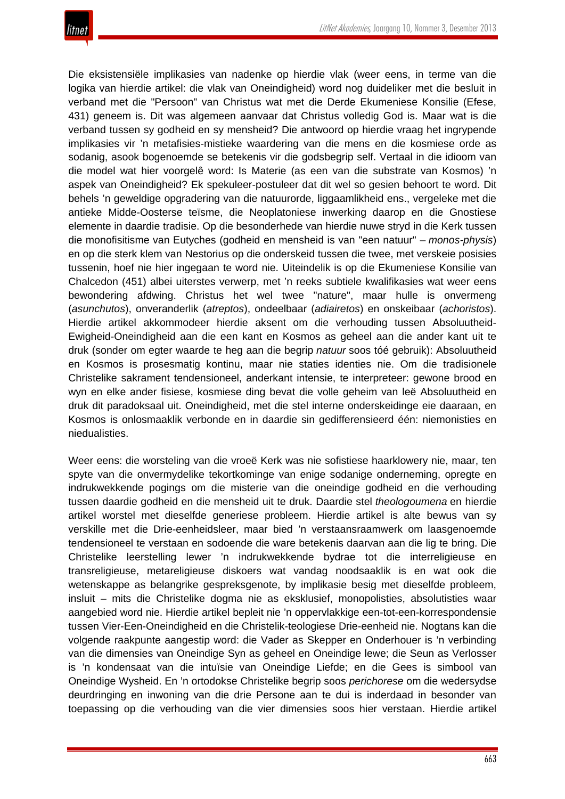

Die eksistensiële implikasies van nadenke op hierdie vlak (weer eens, in terme van die logika van hierdie artikel: die vlak van Oneindigheid) word nog duideliker met die besluit in verband met die "Persoon" van Christus wat met die Derde Ekumeniese Konsilie (Efese, 431) geneem is. Dit was algemeen aanvaar dat Christus volledig God is. Maar wat is die verband tussen sy godheid en sy mensheid? Die antwoord op hierdie vraag het ingrypende implikasies vir 'n metafisies-mistieke waardering van die mens en die kosmiese orde as sodanig, asook bogenoemde se betekenis vir die godsbegrip self. Vertaal in die idioom van die model wat hier voorgelê word: Is Materie (as een van die substrate van Kosmos) 'n aspek van Oneindigheid? Ek spekuleer-postuleer dat dit wel so gesien behoort te word. Dit behels 'n geweldige opgradering van die natuurorde, liggaamlikheid ens., vergeleke met die antieke Midde-Oosterse teïsme, die Neoplatoniese inwerking daarop en die Gnostiese elemente in daardie tradisie. Op die besonderhede van hierdie nuwe stryd in die Kerk tussen die monofisitisme van Eutyches (godheid en mensheid is van "een natuur" – *monos-physis*) en op die sterk klem van Nestorius op die onderskeid tussen die twee, met verskeie posisies tussenin, hoef nie hier ingegaan te word nie. Uiteindelik is op die Ekumeniese Konsilie van Chalcedon (451) albei uiterstes verwerp, met 'n reeks subtiele kwalifikasies wat weer eens bewondering afdwing. Christus het wel twee "nature", maar hulle is onvermeng (*asunchutos*), onveranderlik (*atreptos*), ondeelbaar (*adiairetos*) en onskeibaar (*achoristos*). Hierdie artikel akkommodeer hierdie aksent om die verhouding tussen Absoluutheid-Ewigheid-Oneindigheid aan die een kant en Kosmos as geheel aan die ander kant uit te druk (sonder om egter waarde te heg aan die begrip *natuur* soos tóé gebruik): Absoluutheid en Kosmos is prosesmatig kontinu, maar nie staties identies nie. Om die tradisionele Christelike sakrament tendensioneel, anderkant intensie, te interpreteer: gewone brood en wyn en elke ander fisiese, kosmiese ding bevat die volle geheim van leë Absoluutheid en druk dit paradoksaal uit. Oneindigheid, met die stel interne onderskeidinge eie daaraan, en Kosmos is onlosmaaklik verbonde en in daardie sin gedifferensieerd één: niemonisties en niedualisties.

Weer eens: die worsteling van die vroeë Kerk was nie sofistiese haarklowery nie, maar, ten spyte van die onvermydelike tekortkominge van enige sodanige onderneming, opregte en indrukwekkende pogings om die misterie van die oneindige godheid en die verhouding tussen daardie godheid en die mensheid uit te druk. Daardie stel *theologoumena* en hierdie artikel worstel met dieselfde generiese probleem. Hierdie artikel is alte bewus van sy verskille met die Drie-eenheidsleer, maar bied 'n verstaansraamwerk om laasgenoemde tendensioneel te verstaan en sodoende die ware betekenis daarvan aan die lig te bring. Die Christelike leerstelling lewer 'n indrukwekkende bydrae tot die interreligieuse en transreligieuse, metareligieuse diskoers wat vandag noodsaaklik is en wat ook die wetenskappe as belangrike gespreksgenote, by implikasie besig met dieselfde probleem, insluit – mits die Christelike dogma nie as eksklusief, monopolisties, absolutisties waar aangebied word nie. Hierdie artikel bepleit nie 'n oppervlakkige een-tot-een-korrespondensie tussen Vier-Een-Oneindigheid en die Christelik-teologiese Drie-eenheid nie. Nogtans kan die volgende raakpunte aangestip word: die Vader as Skepper en Onderhouer is 'n verbinding van die dimensies van Oneindige Syn as geheel en Oneindige lewe; die Seun as Verlosser is 'n kondensaat van die intuïsie van Oneindige Liefde; en die Gees is simbool van Oneindige Wysheid. En 'n ortodokse Christelike begrip soos *perichorese* om die wedersydse deurdringing en inwoning van die drie Persone aan te dui is inderdaad in besonder van toepassing op die verhouding van die vier dimensies soos hier verstaan. Hierdie artikel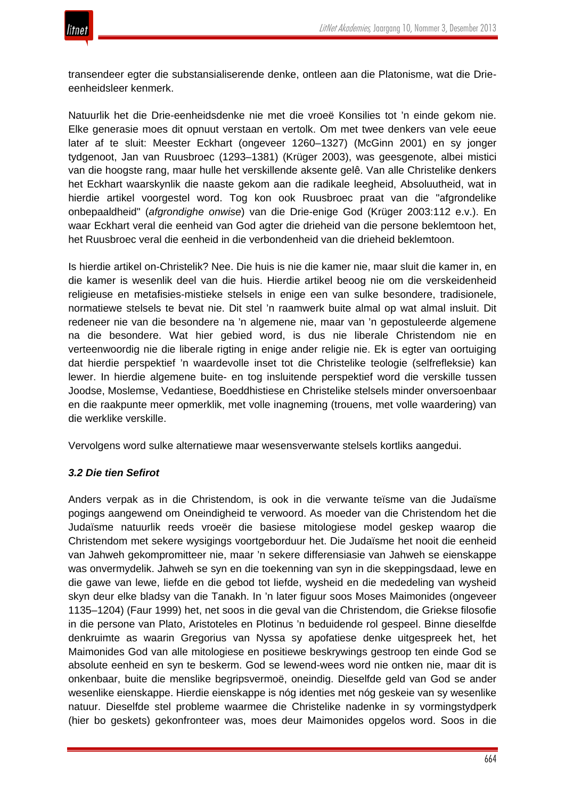

transendeer egter die substansialiserende denke, ontleen aan die Platonisme, wat die Drieeenheidsleer kenmerk.

Natuurlik het die Drie-eenheidsdenke nie met die vroeë Konsilies tot 'n einde gekom nie. Elke generasie moes dit opnuut verstaan en vertolk. Om met twee denkers van vele eeue later af te sluit: Meester Eckhart (ongeveer 1260–1327) (McGinn 2001) en sy jonger tydgenoot, Jan van Ruusbroec (1293–1381) (Krüger 2003), was geesgenote, albei mistici van die hoogste rang, maar hulle het verskillende aksente gelê. Van alle Christelike denkers het Eckhart waarskynlik die naaste gekom aan die radikale leegheid, Absoluutheid, wat in hierdie artikel voorgestel word. Tog kon ook Ruusbroec praat van die "afgrondelike onbepaaldheid" (*afgrondighe onwise*) van die Drie-enige God (Krüger 2003:112 e.v.). En waar Eckhart veral die eenheid van God agter die drieheid van die persone beklemtoon het, het Ruusbroec veral die eenheid in die verbondenheid van die drieheid beklemtoon.

Is hierdie artikel on-Christelik? Nee. Die huis is nie die kamer nie, maar sluit die kamer in, en die kamer is wesenlik deel van die huis. Hierdie artikel beoog nie om die verskeidenheid religieuse en metafisies-mistieke stelsels in enige een van sulke besondere, tradisionele, normatiewe stelsels te bevat nie. Dit stel 'n raamwerk buite almal op wat almal insluit. Dit redeneer nie van die besondere na 'n algemene nie, maar van 'n gepostuleerde algemene na die besondere. Wat hier gebied word, is dus nie liberale Christendom nie en verteenwoordig nie die liberale rigting in enige ander religie nie. Ek is egter van oortuiging dat hierdie perspektief 'n waardevolle inset tot die Christelike teologie (selfrefleksie) kan lewer. In hierdie algemene buite- en tog insluitende perspektief word die verskille tussen Joodse, Moslemse, Vedantiese, Boeddhistiese en Christelike stelsels minder onversoenbaar en die raakpunte meer opmerklik, met volle inagneming (trouens, met volle waardering) van die werklike verskille.

Vervolgens word sulke alternatiewe maar wesensverwante stelsels kortliks aangedui.

## *3.2 Die tien Sefirot*

Anders verpak as in die Christendom, is ook in die verwante teïsme van die Judaïsme pogings aangewend om Oneindigheid te verwoord. As moeder van die Christendom het die Judaïsme natuurlik reeds vroeër die basiese mitologiese model geskep waarop die Christendom met sekere wysigings voortgeborduur het. Die Judaïsme het nooit die eenheid van Jahweh gekompromitteer nie, maar 'n sekere differensiasie van Jahweh se eienskappe was onvermydelik. Jahweh se syn en die toekenning van syn in die skeppingsdaad, lewe en die gawe van lewe, liefde en die gebod tot liefde, wysheid en die mededeling van wysheid skyn deur elke bladsy van die Tanakh. In 'n later figuur soos Moses Maimonides (ongeveer 1135–1204) (Faur 1999) het, net soos in die geval van die Christendom, die Griekse filosofie in die persone van Plato, Aristoteles en Plotinus 'n beduidende rol gespeel. Binne dieselfde denkruimte as waarin Gregorius van Nyssa sy apofatiese denke uitgespreek het, het Maimonides God van alle mitologiese en positiewe beskrywings gestroop ten einde God se absolute eenheid en syn te beskerm. God se lewend-wees word nie ontken nie, maar dit is onkenbaar, buite die menslike begripsvermoë, oneindig. Dieselfde geld van God se ander wesenlike eienskappe. Hierdie eienskappe is nóg identies met nóg geskeie van sy wesenlike natuur. Dieselfde stel probleme waarmee die Christelike nadenke in sy vormingstydperk (hier bo geskets) gekonfronteer was, moes deur Maimonides opgelos word. Soos in die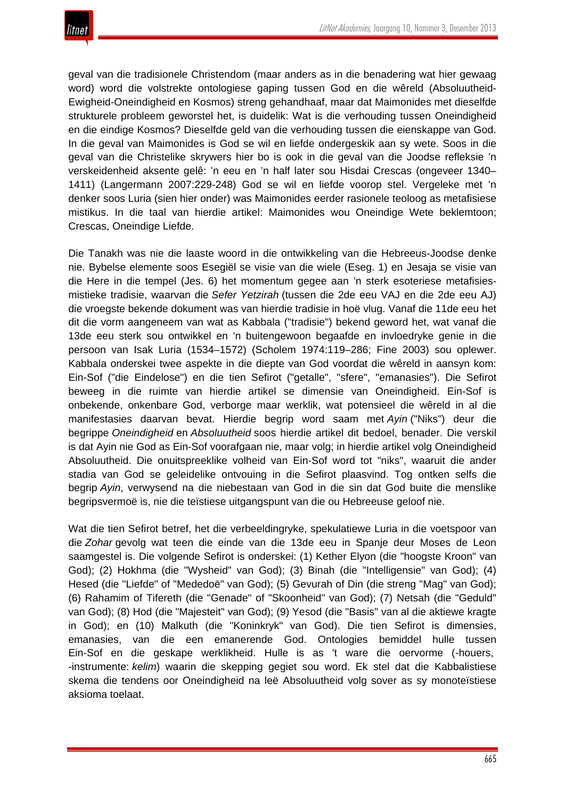

geval van die tradisionele Christendom (maar anders as in die benadering wat hier gewaag word) word die volstrekte ontologiese gaping tussen God en die wêreld (Absoluutheid-Ewigheid-Oneindigheid en Kosmos) streng gehandhaaf, maar dat Maimonides met dieselfde strukturele probleem geworstel het, is duidelik: Wat is die verhouding tussen Oneindigheid en die eindige Kosmos? Dieselfde geld van die verhouding tussen die eienskappe van God. In die geval van Maimonides is God se wil en liefde ondergeskik aan sy wete. Soos in die geval van die Christelike skrywers hier bo is ook in die geval van die Joodse refleksie 'n verskeidenheid aksente gelê: 'n eeu en 'n half later sou Hisdai Crescas (ongeveer 1340– 1411) (Langermann 2007:229-248) God se wil en liefde voorop stel. Vergeleke met 'n denker soos Luria (sien hier onder) was Maimonides eerder rasionele teoloog as metafisiese mistikus. In die taal van hierdie artikel: Maimonides wou Oneindige Wete beklemtoon; Crescas, Oneindige Liefde.

Die Tanakh was nie die laaste woord in die ontwikkeling van die Hebreeus-Joodse denke nie. Bybelse elemente soos Esegiël se visie van die wiele (Eseg. 1) en Jesaja se visie van die Here in die tempel (Jes. 6) het momentum gegee aan 'n sterk esoteriese metafisiesmistieke tradisie, waarvan die *Sefer Yetzirah* (tussen die 2de eeu VAJ en die 2de eeu AJ) die vroegste bekende dokument was van hierdie tradisie in hoë vlug. Vanaf die 11de eeu het dit die vorm aangeneem van wat as Kabbala ("tradisie") bekend geword het, wat vanaf die 13de eeu sterk sou ontwikkel en 'n buitengewoon begaafde en invloedryke genie in die persoon van Isak Luria (1534–1572) (Scholem 1974:119–286; Fine 2003) sou oplewer. Kabbala onderskei twee aspekte in die diepte van God voordat die wêreld in aansyn kom: Ein-Sof ("die Eindelose") en die tien Sefirot ("getalle", "sfere", "emanasies"). Die Sefirot beweeg in die ruimte van hierdie artikel se dimensie van Oneindigheid. Ein-Sof is onbekende, onkenbare God, verborge maar werklik, wat potensieel die wêreld in al die manifestasies daarvan bevat. Hierdie begrip word saam met *Ayin* ("Niks") deur die begrippe *Oneindigheid* en *Absoluutheid* soos hierdie artikel dit bedoel, benader. Die verskil is dat Ayin nie God as Ein-Sof voorafgaan nie, maar volg; in hierdie artikel volg Oneindigheid Absoluutheid. Die onuitspreeklike volheid van Ein-Sof word tot "niks", waaruit die ander stadia van God se geleidelike ontvouing in die Sefirot plaasvind. Tog ontken selfs die begrip *Ayin*, verwysend na die niebestaan van God in die sin dat God buite die menslike begripsvermoë is, nie die teïstiese uitgangspunt van die ou Hebreeuse geloof nie.

Wat die tien Sefirot betref, het die verbeeldingryke, spekulatiewe Luria in die voetspoor van die *Zohar* gevolg wat teen die einde van die 13de eeu in Spanje deur Moses de Leon saamgestel is. Die volgende Sefirot is onderskei: (1) Kether Elyon (die "hoogste Kroon" van God); (2) Hokhma (die "Wysheid" van God); (3) Binah (die "Intelligensie" van God); (4) Hesed (die "Liefde" of "Mededoë" van God); (5) Gevurah of Din (die streng "Mag" van God); (6) Rahamim of Tifereth (die "Genade" of "Skoonheid" van God); (7) Netsah (die "Geduld" van God); (8) Hod (die "Majesteit" van God); (9) Yesod (die "Basis" van al die aktiewe kragte in God); en (10) Malkuth (die "Koninkryk" van God). Die tien Sefirot is dimensies, emanasies, van die een emanerende God. Ontologies bemiddel hulle tussen Ein-Sof en die geskape werklikheid. Hulle is as 't ware die oervorme (-houers, -instrumente: *kelim*) waarin die skepping gegiet sou word. Ek stel dat die Kabbalistiese skema die tendens oor Oneindigheid na leë Absoluutheid volg sover as sy monoteïstiese aksioma toelaat.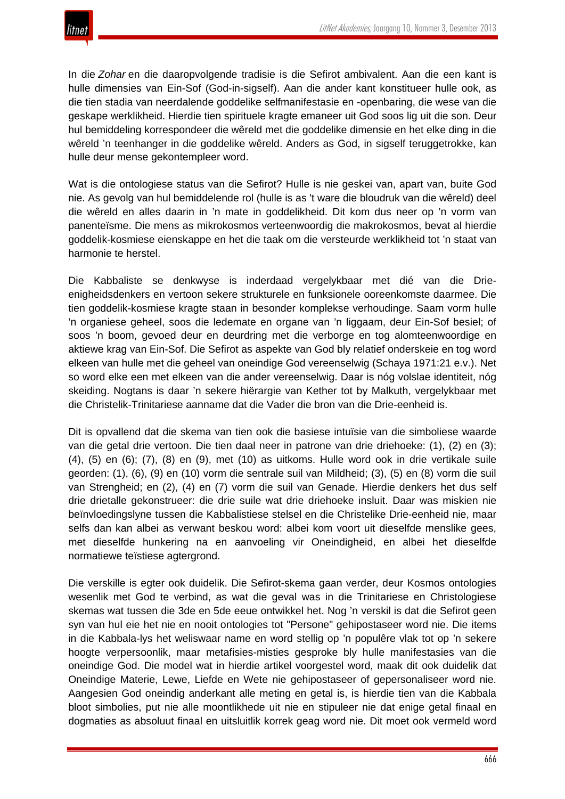

In die *Zohar* en die daaropvolgende tradisie is die Sefirot ambivalent. Aan die een kant is hulle dimensies van Ein-Sof (God-in-sigself). Aan die ander kant konstitueer hulle ook, as die tien stadia van neerdalende goddelike selfmanifestasie en -openbaring, die wese van die geskape werklikheid. Hierdie tien spirituele kragte emaneer uit God soos lig uit die son. Deur hul bemiddeling korrespondeer die wêreld met die goddelike dimensie en het elke ding in die wêreld 'n teenhanger in die goddelike wêreld. Anders as God, in sigself teruggetrokke, kan hulle deur mense gekontempleer word.

Wat is die ontologiese status van die Sefirot? Hulle is nie geskei van, apart van, buite God nie. As gevolg van hul bemiddelende rol (hulle is as 't ware die bloudruk van die wêreld) deel die wêreld en alles daarin in 'n mate in goddelikheid. Dit kom dus neer op 'n vorm van panenteïsme. Die mens as mikrokosmos verteenwoordig die makrokosmos, bevat al hierdie goddelik-kosmiese eienskappe en het die taak om die versteurde werklikheid tot 'n staat van harmonie te herstel.

Die Kabbaliste se denkwyse is inderdaad vergelykbaar met dié van die Drieenigheidsdenkers en vertoon sekere strukturele en funksionele ooreenkomste daarmee. Die tien goddelik-kosmiese kragte staan in besonder komplekse verhoudinge. Saam vorm hulle 'n organiese geheel, soos die ledemate en organe van 'n liggaam, deur Ein-Sof besiel; of soos 'n boom, gevoed deur en deurdring met die verborge en tog alomteenwoordige en aktiewe krag van Ein-Sof. Die Sefirot as aspekte van God bly relatief onderskeie en tog word elkeen van hulle met die geheel van oneindige God vereenselwig (Schaya 1971:21 e.v.). Net so word elke een met elkeen van die ander vereenselwig. Daar is nóg volslae identiteit, nóg skeiding. Nogtans is daar 'n sekere hiërargie van Kether tot by Malkuth, vergelykbaar met die Christelik-Trinitariese aanname dat die Vader die bron van die Drie-eenheid is.

Dit is opvallend dat die skema van tien ook die basiese intuïsie van die simboliese waarde van die getal drie vertoon. Die tien daal neer in patrone van drie driehoeke: (1), (2) en (3); (4), (5) en (6); (7), (8) en (9), met (10) as uitkoms. Hulle word ook in drie vertikale suile georden: (1), (6), (9) en (10) vorm die sentrale suil van Mildheid; (3), (5) en (8) vorm die suil van Strengheid; en (2), (4) en (7) vorm die suil van Genade. Hierdie denkers het dus self drie drietalle gekonstrueer: die drie suile wat drie driehoeke insluit. Daar was miskien nie beïnvloedingslyne tussen die Kabbalistiese stelsel en die Christelike Drie-eenheid nie, maar selfs dan kan albei as verwant beskou word: albei kom voort uit dieselfde menslike gees, met dieselfde hunkering na en aanvoeling vir Oneindigheid, en albei het dieselfde normatiewe teïstiese agtergrond.

Die verskille is egter ook duidelik. Die Sefirot-skema gaan verder, deur Kosmos ontologies wesenlik met God te verbind, as wat die geval was in die Trinitariese en Christologiese skemas wat tussen die 3de en 5de eeue ontwikkel het. Nog 'n verskil is dat die Sefirot geen syn van hul eie het nie en nooit ontologies tot "Persone" gehipostaseer word nie. Die items in die Kabbala-lys het weliswaar name en word stellig op 'n populêre vlak tot op 'n sekere hoogte verpersoonlik, maar metafisies-misties gesproke bly hulle manifestasies van die oneindige God. Die model wat in hierdie artikel voorgestel word, maak dit ook duidelik dat Oneindige Materie, Lewe, Liefde en Wete nie gehipostaseer of gepersonaliseer word nie. Aangesien God oneindig anderkant alle meting en getal is, is hierdie tien van die Kabbala bloot simbolies, put nie alle moontlikhede uit nie en stipuleer nie dat enige getal finaal en dogmaties as absoluut finaal en uitsluitlik korrek geag word nie. Dit moet ook vermeld word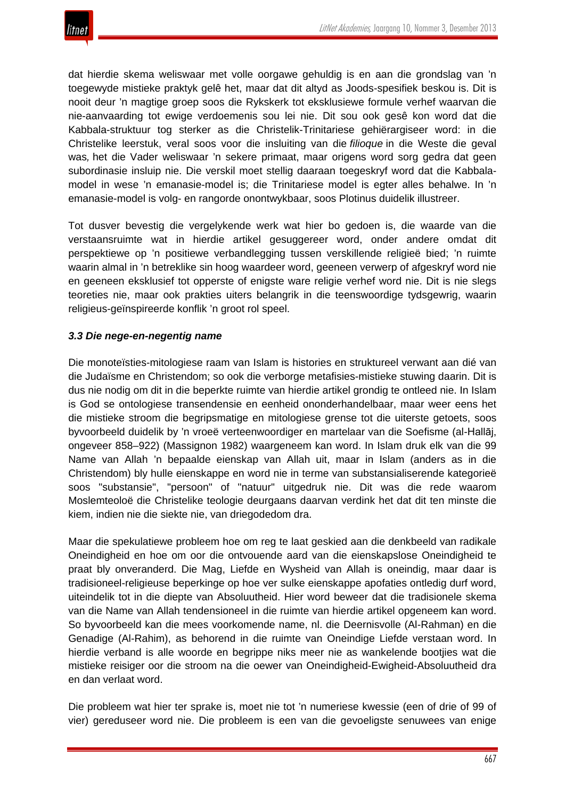dat hierdie skema weliswaar met volle oorgawe gehuldig is en aan die grondslag van 'n toegewyde mistieke praktyk gelê het, maar dat dit altyd as Joods-spesifiek beskou is. Dit is nooit deur 'n magtige groep soos die Rykskerk tot eksklusiewe formule verhef waarvan die nie-aanvaarding tot ewige verdoemenis sou lei nie. Dit sou ook gesê kon word dat die Kabbala-struktuur tog sterker as die Christelik-Trinitariese gehiërargiseer word: in die Christelike leerstuk, veral soos voor die insluiting van die *filioque* in die Weste die geval was*,* het die Vader weliswaar 'n sekere primaat, maar origens word sorg gedra dat geen subordinasie insluip nie. Die verskil moet stellig daaraan toegeskryf word dat die Kabbalamodel in wese 'n emanasie-model is; die Trinitariese model is egter alles behalwe. In 'n emanasie-model is volg- en rangorde onontwykbaar, soos Plotinus duidelik illustreer.

Tot dusver bevestig die vergelykende werk wat hier bo gedoen is, die waarde van die verstaansruimte wat in hierdie artikel gesuggereer word, onder andere omdat dit perspektiewe op 'n positiewe verbandlegging tussen verskillende religieë bied; 'n ruimte waarin almal in 'n betreklike sin hoog waardeer word, geeneen verwerp of afgeskryf word nie en geeneen eksklusief tot opperste of enigste ware religie verhef word nie. Dit is nie slegs teoreties nie, maar ook prakties uiters belangrik in die teenswoordige tydsgewrig, waarin religieus-geïnspireerde konflik 'n groot rol speel.

# *3.3 Die nege-en-negentig name*

Die monoteïsties-mitologiese raam van Islam is histories en struktureel verwant aan dié van die Judaïsme en Christendom; so ook die verborge metafisies-mistieke stuwing daarin. Dit is dus nie nodig om dit in die beperkte ruimte van hierdie artikel grondig te ontleed nie. In Islam is God se ontologiese transendensie en eenheid ononderhandelbaar, maar weer eens het die mistieke stroom die begripsmatige en mitologiese grense tot die uiterste getoets, soos byvoorbeeld duidelik by 'n vroeë verteenwoordiger en martelaar van die Soefisme (al-Hallāj, ongeveer 858–922) (Massignon 1982) waargeneem kan word. In Islam druk elk van die 99 Name van Allah 'n bepaalde eienskap van Allah uit, maar in Islam (anders as in die Christendom) bly hulle eienskappe en word nie in terme van substansialiserende kategorieë soos "substansie", "persoon" of "natuur" uitgedruk nie. Dit was die rede waarom Moslemteoloë die Christelike teologie deurgaans daarvan verdink het dat dit ten minste die kiem, indien nie die siekte nie, van driegodedom dra.

Maar die spekulatiewe probleem hoe om reg te laat geskied aan die denkbeeld van radikale Oneindigheid en hoe om oor die ontvouende aard van die eienskapslose Oneindigheid te praat bly onveranderd. Die Mag, Liefde en Wysheid van Allah is oneindig, maar daar is tradisioneel-religieuse beperkinge op hoe ver sulke eienskappe apofaties ontledig durf word, uiteindelik tot in die diepte van Absoluutheid. Hier word beweer dat die tradisionele skema van die Name van Allah tendensioneel in die ruimte van hierdie artikel opgeneem kan word. So byvoorbeeld kan die mees voorkomende name, nl. die Deernisvolle (Al-Rahman) en die Genadige (Al-Rahim), as behorend in die ruimte van Oneindige Liefde verstaan word. In hierdie verband is alle woorde en begrippe niks meer nie as wankelende bootjies wat die mistieke reisiger oor die stroom na die oewer van Oneindigheid-Ewigheid-Absoluutheid dra en dan verlaat word.

Die probleem wat hier ter sprake is, moet nie tot 'n numeriese kwessie (een of drie of 99 of vier) gereduseer word nie. Die probleem is een van die gevoeligste senuwees van enige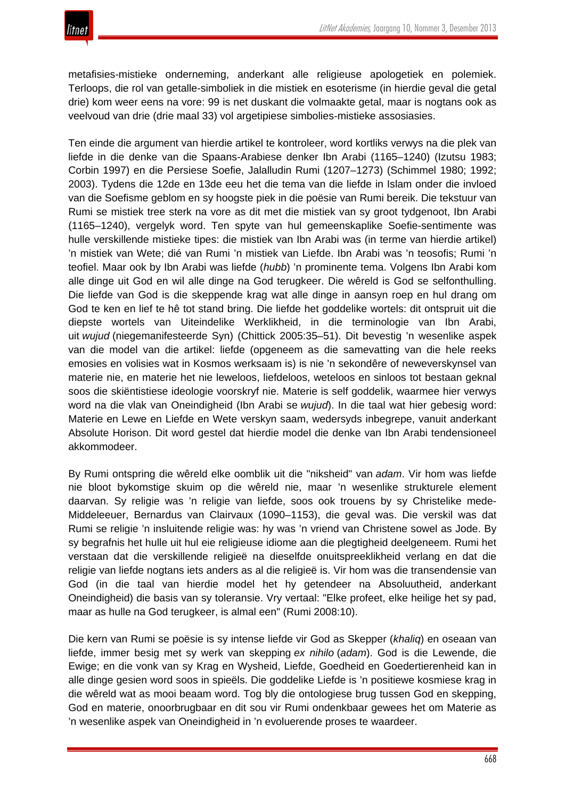metafisies-mistieke onderneming, anderkant alle religieuse apologetiek en polemiek. Terloops, die rol van getalle-simboliek in die mistiek en esoterisme (in hierdie geval die getal drie) kom weer eens na vore: 99 is net duskant die volmaakte getal, maar is nogtans ook as veelvoud van drie (drie maal 33) vol argetipiese simbolies-mistieke assosiasies.

Ten einde die argument van hierdie artikel te kontroleer, word kortliks verwys na die plek van liefde in die denke van die Spaans-Arabiese denker Ibn Arabi (1165–1240) (Izutsu 1983; Corbin 1997) en die Persiese Soefie, Jalalludin Rumi (1207–1273) (Schimmel 1980; 1992; 2003). Tydens die 12de en 13de eeu het die tema van die liefde in Islam onder die invloed van die Soefisme geblom en sy hoogste piek in die poësie van Rumi bereik. Die tekstuur van Rumi se mistiek tree sterk na vore as dit met die mistiek van sy groot tydgenoot, Ibn Arabi (1165–1240), vergelyk word. Ten spyte van hul gemeenskaplike Soefie-sentimente was hulle verskillende mistieke tipes: die mistiek van Ibn Arabi was (in terme van hierdie artikel) 'n mistiek van Wete; dié van Rumi 'n mistiek van Liefde. Ibn Arabi was 'n teosofis; Rumi 'n teofiel. Maar ook by Ibn Arabi was liefde (*hubb*) 'n prominente tema. Volgens Ibn Arabi kom alle dinge uit God en wil alle dinge na God terugkeer. Die wêreld is God se selfonthulling. Die liefde van God is die skeppende krag wat alle dinge in aansyn roep en hul drang om God te ken en lief te hê tot stand bring. Die liefde het goddelike wortels: dit ontspruit uit die diepste wortels van Uiteindelike Werklikheid, in die terminologie van Ibn Arabi, uit *wujud* (niegemanifesteerde Syn) (Chittick 2005:35–51). Dit bevestig 'n wesenlike aspek van die model van die artikel: liefde (opgeneem as die samevatting van die hele reeks emosies en volisies wat in Kosmos werksaam is) is nie 'n sekondêre of neweverskynsel van materie nie, en materie het nie leweloos, liefdeloos, weteloos en sinloos tot bestaan geknal soos die skiëntistiese ideologie voorskryf nie. Materie is self goddelik, waarmee hier verwys word na die vlak van Oneindigheid (Ibn Arabi se *wujud*). In die taal wat hier gebesig word: Materie en Lewe en Liefde en Wete verskyn saam, wedersyds inbegrepe, vanuit anderkant Absolute Horison. Dit word gestel dat hierdie model die denke van Ibn Arabi tendensioneel akkommodeer.

By Rumi ontspring die wêreld elke oomblik uit die "niksheid" van *adam*. Vir hom was liefde nie bloot bykomstige skuim op die wêreld nie, maar 'n wesenlike strukturele element daarvan. Sy religie was 'n religie van liefde, soos ook trouens by sy Christelike mede-Middeleeuer, Bernardus van Clairvaux (1090–1153), die geval was. Die verskil was dat Rumi se religie 'n insluitende religie was: hy was 'n vriend van Christene sowel as Jode. By sy begrafnis het hulle uit hul eie religieuse idiome aan die plegtigheid deelgeneem. Rumi het verstaan dat die verskillende religieë na dieselfde onuitspreeklikheid verlang en dat die religie van liefde nogtans iets anders as al die religieë is. Vir hom was die transendensie van God (in die taal van hierdie model het hy getendeer na Absoluutheid, anderkant Oneindigheid) die basis van sy toleransie. Vry vertaal: "Elke profeet, elke heilige het sy pad, maar as hulle na God terugkeer, is almal een" (Rumi 2008:10).

Die kern van Rumi se poësie is sy intense liefde vir God as Skepper (*khaliq*) en oseaan van liefde, immer besig met sy werk van skepping *ex nihilo* (*adam*). God is die Lewende, die Ewige; en die vonk van sy Krag en Wysheid, Liefde, Goedheid en Goedertierenheid kan in alle dinge gesien word soos in spieëls. Die goddelike Liefde is 'n positiewe kosmiese krag in die wêreld wat as mooi beaam word. Tog bly die ontologiese brug tussen God en skepping, God en materie, onoorbrugbaar en dit sou vir Rumi ondenkbaar gewees het om Materie as 'n wesenlike aspek van Oneindigheid in 'n evoluerende proses te waardeer.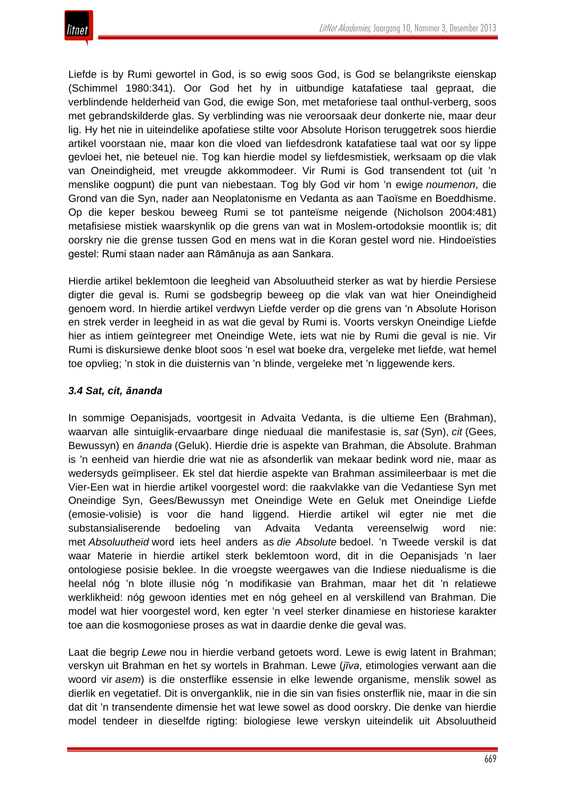Liefde is by Rumi gewortel in God, is so ewig soos God, is God se belangrikste eienskap (Schimmel 1980:341). Oor God het hy in uitbundige katafatiese taal gepraat, die verblindende helderheid van God, die ewige Son, met metaforiese taal onthul-verberg, soos met gebrandskilderde glas. Sy verblinding was nie veroorsaak deur donkerte nie, maar deur lig. Hy het nie in uiteindelike apofatiese stilte voor Absolute Horison teruggetrek soos hierdie artikel voorstaan nie, maar kon die vloed van liefdesdronk katafatiese taal wat oor sy lippe gevloei het, nie beteuel nie. Tog kan hierdie model sy liefdesmistiek, werksaam op die vlak van Oneindigheid, met vreugde akkommodeer. Vir Rumi is God transendent tot (uit 'n menslike oogpunt) die punt van niebestaan. Tog bly God vir hom 'n ewige *noumenon*, die Grond van die Syn, nader aan Neoplatonisme en Vedanta as aan Taoïsme en Boeddhisme. Op die keper beskou beweeg Rumi se tot panteïsme neigende (Nicholson 2004:481) metafisiese mistiek waarskynlik op die grens van wat in Moslem-ortodoksie moontlik is; dit oorskry nie die grense tussen God en mens wat in die Koran gestel word nie. Hindoeïsties gestel: Rumi staan nader aan Rāmānuja as aan Sankara.

Hierdie artikel beklemtoon die leegheid van Absoluutheid sterker as wat by hierdie Persiese digter die geval is. Rumi se godsbegrip beweeg op die vlak van wat hier Oneindigheid genoem word. In hierdie artikel verdwyn Liefde verder op die grens van 'n Absolute Horison en strek verder in leegheid in as wat die geval by Rumi is. Voorts verskyn Oneindige Liefde hier as intiem geïntegreer met Oneindige Wete, iets wat nie by Rumi die geval is nie. Vir Rumi is diskursiewe denke bloot soos 'n esel wat boeke dra, vergeleke met liefde, wat hemel toe opvlieg; 'n stok in die duisternis van 'n blinde, vergeleke met 'n liggewende kers.

# *3.4 Sat, cit, ānanda*

In sommige Oepanisjads, voortgesit in Advaita Vedanta, is die ultieme Een (Brahman), waarvan alle sintuiglik-ervaarbare dinge nieduaal die manifestasie is, *sat* (Syn), *cit* (Gees, Bewussyn) en *ānanda* (Geluk). Hierdie drie is aspekte van Brahman, die Absolute. Brahman is 'n eenheid van hierdie drie wat nie as afsonderlik van mekaar bedink word nie, maar as wedersyds geïmpliseer. Ek stel dat hierdie aspekte van Brahman assimileerbaar is met die Vier-Een wat in hierdie artikel voorgestel word: die raakvlakke van die Vedantiese Syn met Oneindige Syn, Gees/Bewussyn met Oneindige Wete en Geluk met Oneindige Liefde (emosie-volisie) is voor die hand liggend. Hierdie artikel wil egter nie met die substansialiserende bedoeling van Advaita Vedanta vereenselwig word nie: met *Absoluutheid* word iets heel anders as *die Absolute* bedoel. 'n Tweede verskil is dat waar Materie in hierdie artikel sterk beklemtoon word, dit in die Oepanisjads 'n laer ontologiese posisie beklee. In die vroegste weergawes van die Indiese niedualisme is die heelal nóg 'n blote illusie nóg 'n modifikasie van Brahman, maar het dit 'n relatiewe werklikheid: nóg gewoon identies met en nóg geheel en al verskillend van Brahman. Die model wat hier voorgestel word, ken egter 'n veel sterker dinamiese en historiese karakter toe aan die kosmogoniese proses as wat in daardie denke die geval was.

Laat die begrip *Lewe* nou in hierdie verband getoets word. Lewe is ewig latent in Brahman; verskyn uit Brahman en het sy wortels in Brahman. Lewe (*jīva*, etimologies verwant aan die woord vir *asem*) is die onsterflike essensie in elke lewende organisme, menslik sowel as dierlik en vegetatief. Dit is onverganklik, nie in die sin van fisies onsterflik nie, maar in die sin dat dit 'n transendente dimensie het wat lewe sowel as dood oorskry. Die denke van hierdie model tendeer in dieselfde rigting: biologiese lewe verskyn uiteindelik uit Absoluutheid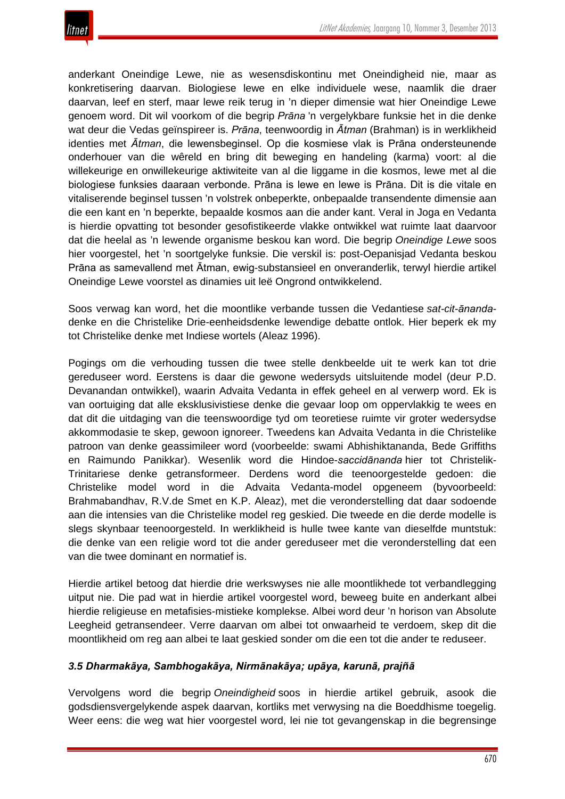

anderkant Oneindige Lewe, nie as wesensdiskontinu met Oneindigheid nie, maar as konkretisering daarvan. Biologiese lewe en elke individuele wese, naamlik die draer daarvan, leef en sterf, maar lewe reik terug in 'n dieper dimensie wat hier Oneindige Lewe genoem word. Dit wil voorkom of die begrip *Prāna* 'n vergelykbare funksie het in die denke wat deur die Vedas geïnspireer is. *Prāna*, teenwoordig in *Ātman* (Brahman) is in werklikheid identies met *Ātman*, die lewensbeginsel. Op die kosmiese vlak is Prāna ondersteunende onderhouer van die wêreld en bring dit beweging en handeling (karma) voort: al die willekeurige en onwillekeurige aktiwiteite van al die liggame in die kosmos, lewe met al die biologiese funksies daaraan verbonde. Prāna is lewe en lewe is Prāna. Dit is die vitale en vitaliserende beginsel tussen 'n volstrek onbeperkte, onbepaalde transendente dimensie aan die een kant en 'n beperkte, bepaalde kosmos aan die ander kant. Veral in Joga en Vedanta is hierdie opvatting tot besonder gesofistikeerde vlakke ontwikkel wat ruimte laat daarvoor dat die heelal as 'n lewende organisme beskou kan word. Die begrip *Oneindige Lewe* soos hier voorgestel, het 'n soortgelyke funksie. Die verskil is: post-Oepanisjad Vedanta beskou Prāna as samevallend met Ātman, ewig-substansieel en onveranderlik, terwyl hierdie artikel Oneindige Lewe voorstel as dinamies uit leë Ongrond ontwikkelend.

Soos verwag kan word, het die moontlike verbande tussen die Vedantiese *sat-cit-ānanda*denke en die Christelike Drie-eenheidsdenke lewendige debatte ontlok. Hier beperk ek my tot Christelike denke met Indiese wortels (Aleaz 1996).

Pogings om die verhouding tussen die twee stelle denkbeelde uit te werk kan tot drie gereduseer word. Eerstens is daar die gewone wedersyds uitsluitende model (deur P.D. Devanandan ontwikkel), waarin Advaita Vedanta in effek geheel en al verwerp word. Ek is van oortuiging dat alle eksklusivistiese denke die gevaar loop om oppervlakkig te wees en dat dit die uitdaging van die teenswoordige tyd om teoretiese ruimte vir groter wedersydse akkommodasie te skep, gewoon ignoreer. Tweedens kan Advaita Vedanta in die Christelike patroon van denke geassimileer word (voorbeelde: swami Abhishiktananda, Bede Griffiths en Raimundo Panikkar). Wesenlik word die Hindoe-*saccidānanda* hier tot Christelik-Trinitariese denke getransformeer. Derdens word die teenoorgestelde gedoen: die Christelike model word in die Advaita Vedanta-model opgeneem (byvoorbeeld: Brahmabandhav, R.V.de Smet en K.P. Aleaz), met die veronderstelling dat daar sodoende aan die intensies van die Christelike model reg geskied. Die tweede en die derde modelle is slegs skynbaar teenoorgesteld. In werklikheid is hulle twee kante van dieselfde muntstuk: die denke van een religie word tot die ander gereduseer met die veronderstelling dat een van die twee dominant en normatief is.

Hierdie artikel betoog dat hierdie drie werkswyses nie alle moontlikhede tot verbandlegging uitput nie. Die pad wat in hierdie artikel voorgestel word, beweeg buite en anderkant albei hierdie religieuse en metafisies-mistieke komplekse. Albei word deur 'n horison van Absolute Leegheid getransendeer. Verre daarvan om albei tot onwaarheid te verdoem, skep dit die moontlikheid om reg aan albei te laat geskied sonder om die een tot die ander te reduseer.

## *3.5 Dharmakāya, Sambhogakāya, Nirmānakāya; upāya, karunā, prajñā*

Vervolgens word die begrip *Oneindigheid* soos in hierdie artikel gebruik, asook die godsdiensvergelykende aspek daarvan, kortliks met verwysing na die Boeddhisme toegelig. Weer eens: die weg wat hier voorgestel word, lei nie tot gevangenskap in die begrensinge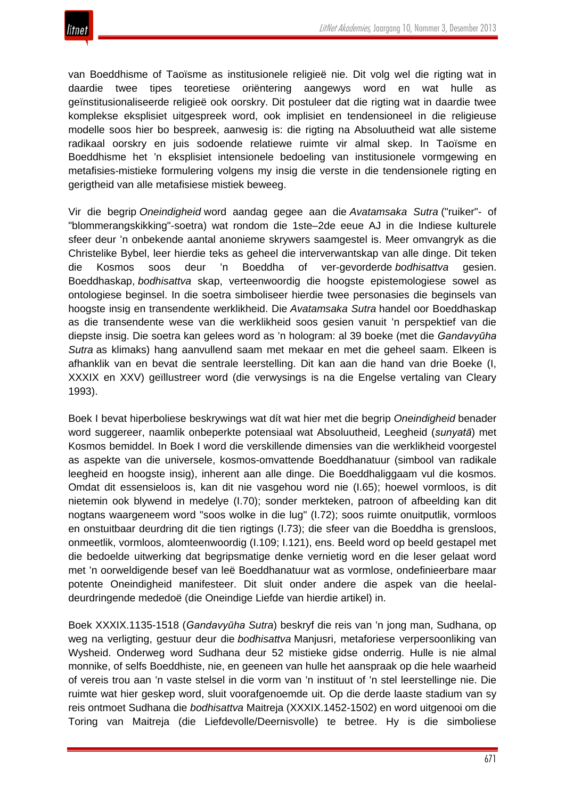

van Boeddhisme of Taoïsme as institusionele religieë nie. Dit volg wel die rigting wat in daardie twee tipes teoretiese oriëntering aangewys word en wat hulle as geïnstitusionaliseerde religieë ook oorskry. Dit postuleer dat die rigting wat in daardie twee komplekse eksplisiet uitgespreek word, ook implisiet en tendensioneel in die religieuse modelle soos hier bo bespreek, aanwesig is: die rigting na Absoluutheid wat alle sisteme radikaal oorskry en juis sodoende relatiewe ruimte vir almal skep. In Taoïsme en Boeddhisme het 'n eksplisiet intensionele bedoeling van institusionele vormgewing en metafisies-mistieke formulering volgens my insig die verste in die tendensionele rigting en gerigtheid van alle metafisiese mistiek beweeg.

Vir die begrip *Oneindigheid* word aandag gegee aan die *Avatamsaka Sutra* ("ruiker"- of "blommerangskikking"-soetra) wat rondom die 1ste–2de eeue AJ in die Indiese kulturele sfeer deur 'n onbekende aantal anonieme skrywers saamgestel is. Meer omvangryk as die Christelike Bybel, leer hierdie teks as geheel die interverwantskap van alle dinge. Dit teken die Kosmos soos deur 'n Boeddha of ver-gevorderde *bodhisattva* gesien. Boeddhaskap, *bodhisattva* skap, verteenwoordig die hoogste epistemologiese sowel as ontologiese beginsel. In die soetra simboliseer hierdie twee personasies die beginsels van hoogste insig en transendente werklikheid. Die *Avatamsaka Sutra* handel oor Boeddhaskap as die transendente wese van die werklikheid soos gesien vanuit 'n perspektief van die diepste insig. Die soetra kan gelees word as 'n hologram: al 39 boeke (met die *Gandavyūha Sutra* as klimaks) hang aanvullend saam met mekaar en met die geheel saam. Elkeen is afhanklik van en bevat die sentrale leerstelling. Dit kan aan die hand van drie Boeke (I, XXXIX en XXV) geïllustreer word (die verwysings is na die Engelse vertaling van Cleary 1993).

Boek I bevat hiperboliese beskrywings wat dít wat hier met die begrip *Oneindigheid* benader word suggereer, naamlik onbeperkte potensiaal wat Absoluutheid, Leegheid (*sunyatā*) met Kosmos bemiddel. In Boek I word die verskillende dimensies van die werklikheid voorgestel as aspekte van die universele, kosmos-omvattende Boeddhanatuur (simbool van radikale leegheid en hoogste insig), inherent aan alle dinge. Die Boeddhaliggaam vul die kosmos. Omdat dit essensieloos is, kan dit nie vasgehou word nie (I.65); hoewel vormloos, is dit nietemin ook blywend in medelye (I.70); sonder merkteken, patroon of afbeelding kan dit nogtans waargeneem word "soos wolke in die lug" (I.72); soos ruimte onuitputlik, vormloos en onstuitbaar deurdring dit die tien rigtings (I.73); die sfeer van die Boeddha is grensloos, onmeetlik, vormloos, alomteenwoordig (I.109; I.121), ens. Beeld word op beeld gestapel met die bedoelde uitwerking dat begripsmatige denke vernietig word en die leser gelaat word met 'n oorweldigende besef van leë Boeddhanatuur wat as vormlose, ondefinieerbare maar potente Oneindigheid manifesteer. Dit sluit onder andere die aspek van die heelaldeurdringende mededoë (die Oneindige Liefde van hierdie artikel) in.

Boek XXXIX.1135-1518 (*Gandavyūha Sutra*) beskryf die reis van 'n jong man, Sudhana, op weg na verligting, gestuur deur die *bodhisattva* Manjusri, metaforiese verpersoonliking van Wysheid. Onderweg word Sudhana deur 52 mistieke gidse onderrig. Hulle is nie almal monnike, of selfs Boeddhiste, nie, en geeneen van hulle het aanspraak op die hele waarheid of vereis trou aan 'n vaste stelsel in die vorm van 'n instituut of 'n stel leerstellinge nie. Die ruimte wat hier geskep word, sluit voorafgenoemde uit. Op die derde laaste stadium van sy reis ontmoet Sudhana die *bodhisattva* Maitreja (XXXIX.1452-1502) en word uitgenooi om die Toring van Maitreja (die Liefdevolle/Deernisvolle) te betree. Hy is die simboliese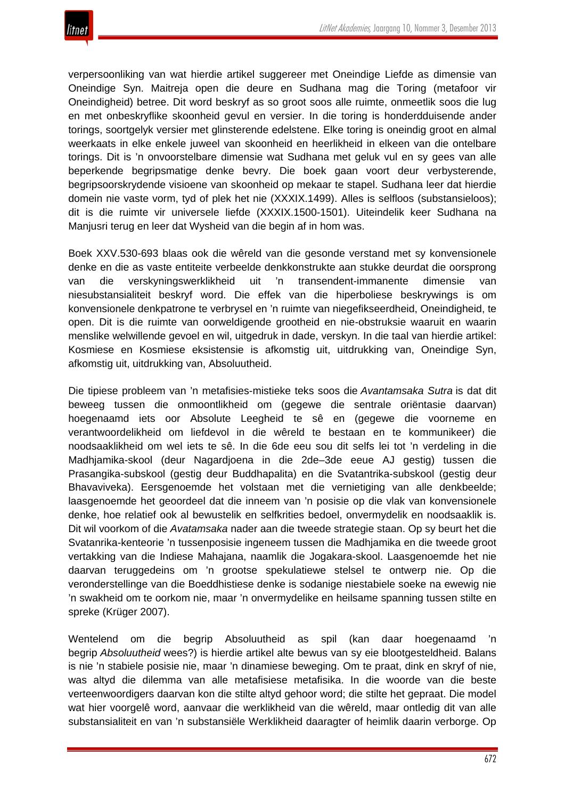

verpersoonliking van wat hierdie artikel suggereer met Oneindige Liefde as dimensie van Oneindige Syn. Maitreja open die deure en Sudhana mag die Toring (metafoor vir Oneindigheid) betree. Dit word beskryf as so groot soos alle ruimte, onmeetlik soos die lug en met onbeskryflike skoonheid gevul en versier. In die toring is honderdduisende ander torings, soortgelyk versier met glinsterende edelstene. Elke toring is oneindig groot en almal weerkaats in elke enkele juweel van skoonheid en heerlikheid in elkeen van die ontelbare torings. Dit is 'n onvoorstelbare dimensie wat Sudhana met geluk vul en sy gees van alle beperkende begripsmatige denke bevry. Die boek gaan voort deur verbysterende, begripsoorskrydende visioene van skoonheid op mekaar te stapel. Sudhana leer dat hierdie domein nie vaste vorm, tyd of plek het nie (XXXIX.1499). Alles is selfloos (substansieloos); dit is die ruimte vir universele liefde (XXXIX.1500-1501). Uiteindelik keer Sudhana na Manjusri terug en leer dat Wysheid van die begin af in hom was.

Boek XXV.530-693 blaas ook die wêreld van die gesonde verstand met sy konvensionele denke en die as vaste entiteite verbeelde denkkonstrukte aan stukke deurdat die oorsprong van die verskyningswerklikheid uit 'n transendent-immanente dimensie van niesubstansialiteit beskryf word. Die effek van die hiperboliese beskrywings is om konvensionele denkpatrone te verbrysel en 'n ruimte van niegefikseerdheid, Oneindigheid, te open. Dit is die ruimte van oorweldigende grootheid en nie-obstruksie waaruit en waarin menslike welwillende gevoel en wil, uitgedruk in dade, verskyn. In die taal van hierdie artikel: Kosmiese en Kosmiese eksistensie is afkomstig uit, uitdrukking van, Oneindige Syn, afkomstig uit, uitdrukking van, Absoluutheid.

Die tipiese probleem van 'n metafisies-mistieke teks soos die *Avantamsaka Sutra* is dat dit beweeg tussen die onmoontlikheid om (gegewe die sentrale oriëntasie daarvan) hoegenaamd iets oor Absolute Leegheid te sê en (gegewe die voorneme en verantwoordelikheid om liefdevol in die wêreld te bestaan en te kommunikeer) die noodsaaklikheid om wel iets te sê. In die 6de eeu sou dit selfs lei tot 'n verdeling in die Madhjamika-skool (deur Nagardjoena in die 2de–3de eeue AJ gestig) tussen die Prasangika-subskool (gestig deur Buddhapalita) en die Svatantrika-subskool (gestig deur Bhavaviveka). Eersgenoemde het volstaan met die vernietiging van alle denkbeelde; laasgenoemde het geoordeel dat die inneem van 'n posisie op die vlak van konvensionele denke, hoe relatief ook al bewustelik en selfkrities bedoel, onvermydelik en noodsaaklik is. Dit wil voorkom of die *Avatamsaka* nader aan die tweede strategie staan. Op sy beurt het die Svatanrika-kenteorie 'n tussenposisie ingeneem tussen die Madhjamika en die tweede groot vertakking van die Indiese Mahajana, naamlik die Jogakara-skool. Laasgenoemde het nie daarvan teruggedeins om 'n grootse spekulatiewe stelsel te ontwerp nie. Op die veronderstellinge van die Boeddhistiese denke is sodanige niestabiele soeke na ewewig nie 'n swakheid om te oorkom nie, maar 'n onvermydelike en heilsame spanning tussen stilte en spreke (Krüger 2007).

Wentelend om die begrip Absoluutheid as spil (kan daar hoegenaamd 'n begrip *Absoluutheid* wees?) is hierdie artikel alte bewus van sy eie blootgesteldheid. Balans is nie 'n stabiele posisie nie, maar 'n dinamiese beweging. Om te praat, dink en skryf of nie, was altyd die dilemma van alle metafisiese metafisika. In die woorde van die beste verteenwoordigers daarvan kon die stilte altyd gehoor word; die stilte het gepraat. Die model wat hier voorgelê word, aanvaar die werklikheid van die wêreld, maar ontledig dit van alle substansialiteit en van 'n substansiële Werklikheid daaragter of heimlik daarin verborge. Op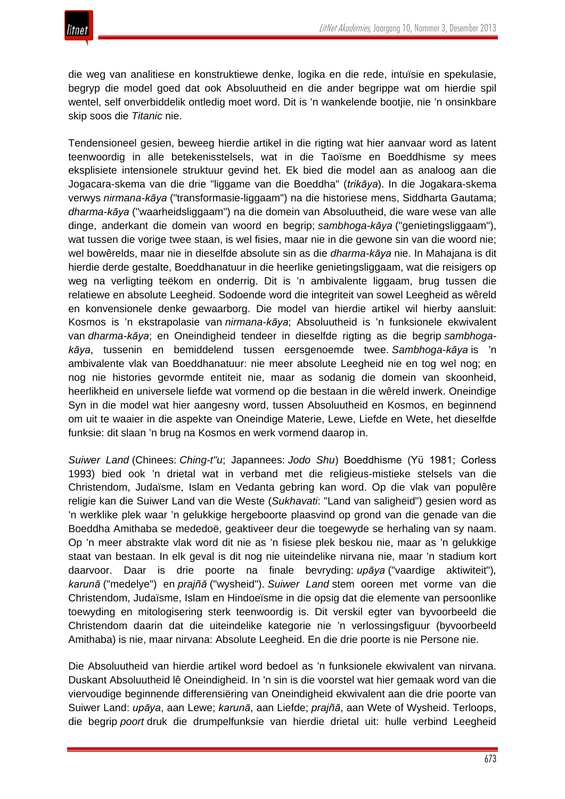die weg van analitiese en konstruktiewe denke, logika en die rede, intuïsie en spekulasie, begryp die model goed dat ook Absoluutheid en die ander begrippe wat om hierdie spil wentel, self onverbiddelik ontledig moet word. Dit is 'n wankelende bootjie, nie 'n onsinkbare skip soos die *Titanic* nie.

Tendensioneel gesien, beweeg hierdie artikel in die rigting wat hier aanvaar word as latent teenwoordig in alle betekenisstelsels, wat in die Taoïsme en Boeddhisme sy mees eksplisiete intensionele struktuur gevind het. Ek bied die model aan as analoog aan die Jogacara-skema van die drie "liggame van die Boeddha" (*trikāya*). In die Jogakara-skema verwys *nirmana-kāya* ("transformasie-liggaam") na die historiese mens, Siddharta Gautama; *dharma-kāya* ("waarheidsliggaam") na die domein van Absoluutheid, die ware wese van alle dinge, anderkant die domein van woord en begrip; *sambhoga-kāya* ("genietingsliggaam"), wat tussen die vorige twee staan, is wel fisies, maar nie in die gewone sin van die woord nie; wel bowêrelds, maar nie in dieselfde absolute sin as die *dharma-kāya* nie. In Mahajana is dit hierdie derde gestalte, Boeddhanatuur in die heerlike genietingsliggaam, wat die reisigers op weg na verligting teëkom en onderrig. Dit is 'n ambivalente liggaam, brug tussen die relatiewe en absolute Leegheid. Sodoende word die integriteit van sowel Leegheid as wêreld en konvensionele denke gewaarborg. Die model van hierdie artikel wil hierby aansluit: Kosmos is 'n ekstrapolasie van *nirmana-kāya*; Absoluutheid is 'n funksionele ekwivalent van *dharma-kāya*; en Oneindigheid tendeer in dieselfde rigting as die begrip *sambhogakāya*, tussenin en bemiddelend tussen eersgenoemde twee. *Sambhoga-kāya* is 'n ambivalente vlak van Boeddhanatuur: nie meer absolute Leegheid nie en tog wel nog; en nog nie histories gevormde entiteit nie, maar as sodanig die domein van skoonheid, heerlikheid en universele liefde wat vormend op die bestaan in die wêreld inwerk. Oneindige Syn in die model wat hier aangesny word, tussen Absoluutheid en Kosmos, en beginnend om uit te waaier in die aspekte van Oneindige Materie, Lewe, Liefde en Wete, het dieselfde funksie: dit slaan 'n brug na Kosmos en werk vormend daarop in.

*Suiwer Land* (Chinees: *Ching-t"u*; Japannees: *Jodo Shu*) Boeddhisme (Yϋ 1981; Corless 1993) bied ook 'n drietal wat in verband met die religieus-mistieke stelsels van die Christendom, Judaïsme, Islam en Vedanta gebring kan word. Op die vlak van populêre religie kan die Suiwer Land van die Weste (*Sukhavati*: "Land van saligheid") gesien word as 'n werklike plek waar 'n gelukkige hergeboorte plaasvind op grond van die genade van die Boeddha Amithaba se mededoë, geaktiveer deur die toegewyde se herhaling van sy naam. Op 'n meer abstrakte vlak word dit nie as 'n fisiese plek beskou nie, maar as 'n gelukkige staat van bestaan. In elk geval is dit nog nie uiteindelike nirvana nie, maar 'n stadium kort daarvoor. Daar is drie poorte na finale bevryding: *upāya* ("vaardige aktiwiteit")*, karunā* ("medelye") en *prajñā* ("wysheid"). *Suiwer Land* stem ooreen met vorme van die Christendom, Judaïsme, Islam en Hindoeïsme in die opsig dat die elemente van persoonlike toewyding en mitologisering sterk teenwoordig is. Dit verskil egter van byvoorbeeld die Christendom daarin dat die uiteindelike kategorie nie 'n verlossingsfiguur (byvoorbeeld Amithaba) is nie, maar nirvana: Absolute Leegheid. En die drie poorte is nie Persone nie.

Die Absoluutheid van hierdie artikel word bedoel as 'n funksionele ekwivalent van nirvana. Duskant Absoluutheid lê Oneindigheid. In 'n sin is die voorstel wat hier gemaak word van die viervoudige beginnende differensiëring van Oneindigheid ekwivalent aan die drie poorte van Suiwer Land: *upāya*, aan Lewe; *karunā*, aan Liefde; *prajñā*, aan Wete of Wysheid. Terloops, die begrip *poort* druk die drumpelfunksie van hierdie drietal uit: hulle verbind Leegheid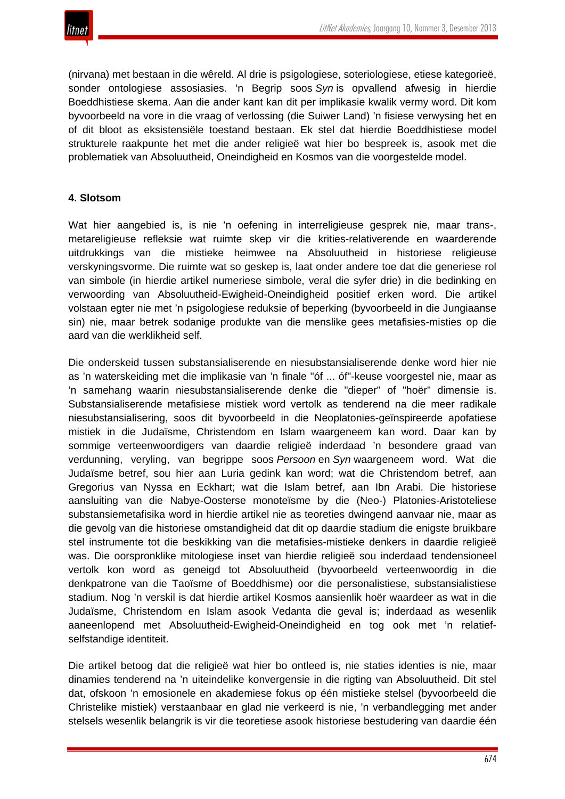(nirvana) met bestaan in die wêreld. Al drie is psigologiese, soteriologiese, etiese kategorieë, sonder ontologiese assosiasies. 'n Begrip soos *Syn* is opvallend afwesig in hierdie Boeddhistiese skema. Aan die ander kant kan dit per implikasie kwalik vermy word. Dit kom byvoorbeeld na vore in die vraag of verlossing (die Suiwer Land) 'n fisiese verwysing het en of dit bloot as eksistensiële toestand bestaan. Ek stel dat hierdie Boeddhistiese model strukturele raakpunte het met die ander religieë wat hier bo bespreek is, asook met die problematiek van Absoluutheid, Oneindigheid en Kosmos van die voorgestelde model.

# **4. Slotsom**

Wat hier aangebied is, is nie 'n oefening in interreligieuse gesprek nie, maar trans-, metareligieuse refleksie wat ruimte skep vir die krities-relativerende en waarderende uitdrukkings van die mistieke heimwee na Absoluutheid in historiese religieuse verskyningsvorme. Die ruimte wat so geskep is, laat onder andere toe dat die generiese rol van simbole (in hierdie artikel numeriese simbole, veral die syfer drie) in die bedinking en verwoording van Absoluutheid-Ewigheid-Oneindigheid positief erken word. Die artikel volstaan egter nie met 'n psigologiese reduksie of beperking (byvoorbeeld in die Jungiaanse sin) nie, maar betrek sodanige produkte van die menslike gees metafisies-misties op die aard van die werklikheid self.

Die onderskeid tussen substansialiserende en niesubstansialiserende denke word hier nie as 'n waterskeiding met die implikasie van 'n finale "óf ... óf"-keuse voorgestel nie, maar as 'n samehang waarin niesubstansialiserende denke die "dieper" of "hoër" dimensie is. Substansialiserende metafisiese mistiek word vertolk as tenderend na die meer radikale niesubstansialisering, soos dit byvoorbeeld in die Neoplatonies-geïnspireerde apofatiese mistiek in die Judaïsme, Christendom en Islam waargeneem kan word. Daar kan by sommige verteenwoordigers van daardie religieë inderdaad 'n besondere graad van verdunning, veryling, van begrippe soos *Persoon* en *Syn* waargeneem word. Wat die Judaïsme betref, sou hier aan Luria gedink kan word; wat die Christendom betref, aan Gregorius van Nyssa en Eckhart; wat die Islam betref, aan Ibn Arabi. Die historiese aansluiting van die Nabye-Oosterse monoteïsme by die (Neo-) Platonies-Aristoteliese substansiemetafisika word in hierdie artikel nie as teoreties dwingend aanvaar nie, maar as die gevolg van die historiese omstandigheid dat dit op daardie stadium die enigste bruikbare stel instrumente tot die beskikking van die metafisies-mistieke denkers in daardie religieë was. Die oorspronklike mitologiese inset van hierdie religieë sou inderdaad tendensioneel vertolk kon word as geneigd tot Absoluutheid (byvoorbeeld verteenwoordig in die denkpatrone van die Taoïsme of Boeddhisme) oor die personalistiese, substansialistiese stadium. Nog 'n verskil is dat hierdie artikel Kosmos aansienlik hoër waardeer as wat in die Judaïsme, Christendom en Islam asook Vedanta die geval is; inderdaad as wesenlik aaneenlopend met Absoluutheid-Ewigheid-Oneindigheid en tog ook met 'n relatiefselfstandige identiteit.

Die artikel betoog dat die religieë wat hier bo ontleed is, nie staties identies is nie, maar dinamies tenderend na 'n uiteindelike konvergensie in die rigting van Absoluutheid. Dit stel dat, ofskoon 'n emosionele en akademiese fokus op één mistieke stelsel (byvoorbeeld die Christelike mistiek) verstaanbaar en glad nie verkeerd is nie, 'n verbandlegging met ander stelsels wesenlik belangrik is vir die teoretiese asook historiese bestudering van daardie één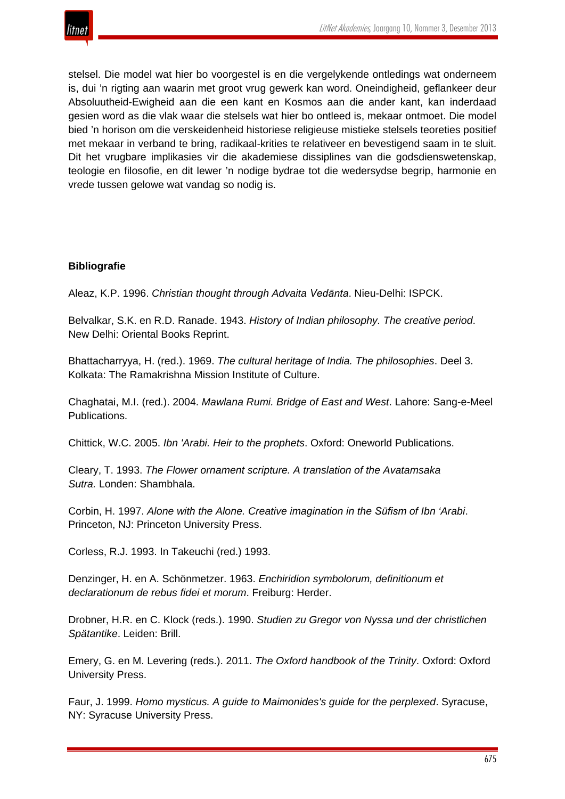

stelsel. Die model wat hier bo voorgestel is en die vergelykende ontledings wat onderneem is, dui 'n rigting aan waarin met groot vrug gewerk kan word. Oneindigheid, geflankeer deur Absoluutheid-Ewigheid aan die een kant en Kosmos aan die ander kant, kan inderdaad gesien word as die vlak waar die stelsels wat hier bo ontleed is, mekaar ontmoet. Die model bied 'n horison om die verskeidenheid historiese religieuse mistieke stelsels teoreties positief met mekaar in verband te bring, radikaal-krities te relativeer en bevestigend saam in te sluit. Dit het vrugbare implikasies vir die akademiese dissiplines van die godsdienswetenskap, teologie en filosofie, en dit lewer 'n nodige bydrae tot die wedersydse begrip, harmonie en vrede tussen gelowe wat vandag so nodig is.

# **Bibliografie**

Aleaz, K.P. 1996. *Christian thought through Advaita Vedānta*. Nieu-Delhi: ISPCK.

Belvalkar, S.K. en R.D. Ranade. 1943. *History of Indian philosophy. The creative period*. New Delhi: Oriental Books Reprint.

Bhattacharryya, H. (red.). 1969. *The cultural heritage of India. The philosophies*. Deel 3. Kolkata: The Ramakrishna Mission Institute of Culture.

Chaghatai, M.I. (red.). 2004. *Mawlana Rumi. Bridge of East and West*. Lahore: Sang-e-Meel Publications.

Chittick, W.C. 2005. *Ibn 'Arabi. Heir to the prophets*. Oxford: Oneworld Publications.

Cleary, T. 1993. *The Flower ornament scripture. A translation of the Avatamsaka Sutra.* Londen: Shambhala.

Corbin, H. 1997. *Alone with the Alone. Creative imagination in the Sūfism of Ibn 'Arabi*. Princeton, NJ: Princeton University Press.

Corless, R.J. 1993. In Takeuchi (red.) 1993.

Denzinger, H. en A. Schönmetzer. 1963. *Enchiridion symbolorum, definitionum et declarationum de rebus fidei et morum*. Freiburg: Herder.

Drobner, H.R. en C. Klock (reds.). 1990. *Studien zu Gregor von Nyssa und der christlichen Spätantike*. Leiden: Brill.

Emery, G. en M. Levering (reds.). 2011. *The Oxford handbook of the Trinity*. Oxford: Oxford University Press.

Faur, J. 1999. *Homo mysticus. A guide to Maimonides's guide for the perplexed*. Syracuse, NY: Syracuse University Press.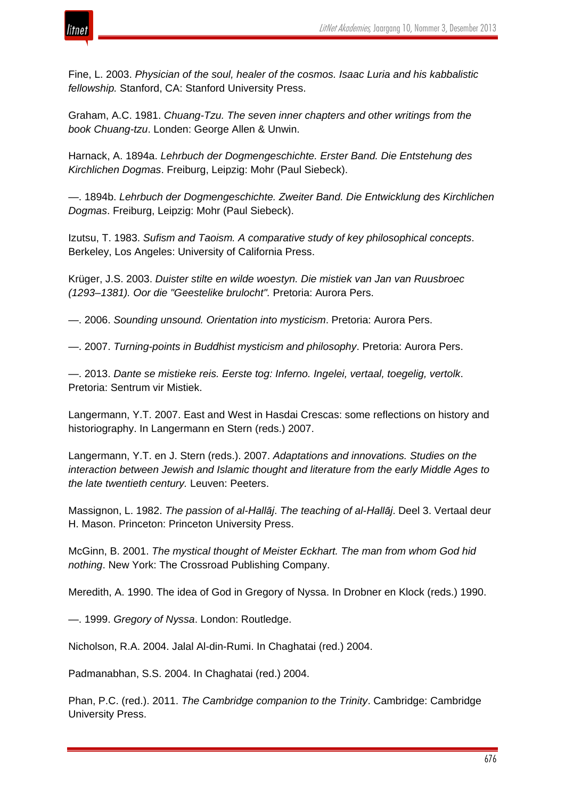

Fine, L. 2003. *Physician of the soul, healer of the cosmos. Isaac Luria and his kabbalistic fellowship.* Stanford, CA: Stanford University Press.

Graham, A.C. 1981. *Chuang-Tzu. The seven inner chapters and other writings from the book Chuang-tzu*. Londen: George Allen & Unwin.

Harnack, A. 1894a. *Lehrbuch der Dogmengeschichte. Erster Band. Die Entstehung des Kirchlichen Dogmas*. Freiburg, Leipzig: Mohr (Paul Siebeck).

—. 1894b. *Lehrbuch der Dogmengeschichte. Zweiter Band. Die Entwicklung des Kirchlichen Dogmas*. Freiburg, Leipzig: Mohr (Paul Siebeck).

Izutsu, T. 1983. *Sufism and Taoism. A comparative study of key philosophical concepts*. Berkeley, Los Angeles: University of California Press.

Krüger, J.S. 2003. *Duister stilte en wilde woestyn. Die mistiek van Jan van Ruusbroec (1293–1381). Oor die "Geestelike brulocht".* Pretoria: Aurora Pers.

—. 2006. *Sounding unsound. Orientation into mysticism*. Pretoria: Aurora Pers.

—. 2007. *Turning-points in Buddhist mysticism and philosophy*. Pretoria: Aurora Pers.

—. 2013. *Dante se mistieke reis. Eerste tog: Inferno. Ingelei, vertaal, toegelig, vertolk*. Pretoria: Sentrum vir Mistiek.

Langermann, Y.T. 2007. East and West in Hasdai Crescas: some reflections on history and historiography. In Langermann en Stern (reds.) 2007.

Langermann, Y.T. en J. Stern (reds.). 2007. *Adaptations and innovations. Studies on the interaction between Jewish and Islamic thought and literature from the early Middle Ages to the late twentieth century.* Leuven: Peeters.

Massignon, L. 1982. *The passion of al-Hallāj*. *The teaching of al-Hallāj*. Deel 3. Vertaal deur H. Mason. Princeton: Princeton University Press.

McGinn, B. 2001. *The mystical thought of Meister Eckhart. The man from whom God hid nothing*. New York: The Crossroad Publishing Company.

Meredith, A. 1990. The idea of God in Gregory of Nyssa. In Drobner en Klock (reds.) 1990.

—. 1999. *Gregory of Nyssa*. London: Routledge.

Nicholson, R.A. 2004. Jalal Al-din-Rumi. In Chaghatai (red.) 2004.

Padmanabhan, S.S. 2004. In Chaghatai (red.) 2004.

Phan, P.C. (red.). 2011. *The Cambridge companion to the Trinity*. Cambridge: Cambridge University Press.